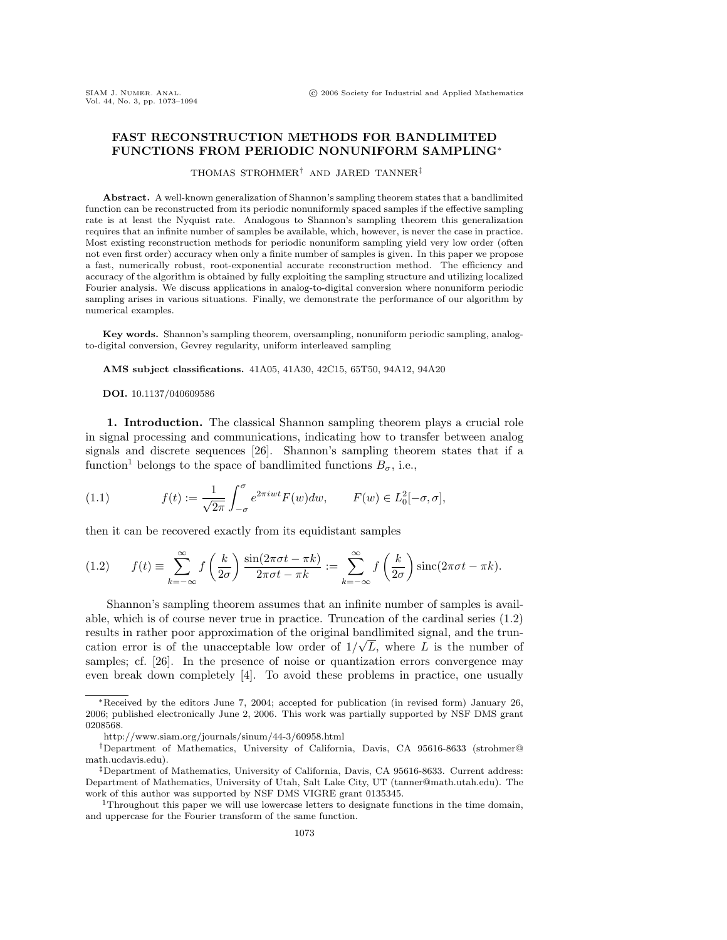## **FAST RECONSTRUCTION METHODS FOR BANDLIMITED FUNCTIONS FROM PERIODIC NONUNIFORM SAMPLING**∗

THOMAS STROHMER† AND JARED TANNER‡

**Abstract.** A well-known generalization of Shannon's sampling theorem states that a bandlimited function can be reconstructed from its periodic nonuniformly spaced samples if the effective sampling rate is at least the Nyquist rate. Analogous to Shannon's sampling theorem this generalization requires that an infinite number of samples be available, which, however, is never the case in practice. Most existing reconstruction methods for periodic nonuniform sampling yield very low order (often not even first order) accuracy when only a finite number of samples is given. In this paper we propose a fast, numerically robust, root-exponential accurate reconstruction method. The efficiency and accuracy of the algorithm is obtained by fully exploiting the sampling structure and utilizing localized Fourier analysis. We discuss applications in analog-to-digital conversion where nonuniform periodic sampling arises in various situations. Finally, we demonstrate the performance of our algorithm by numerical examples.

**Key words.** Shannon's sampling theorem, oversampling, nonuniform periodic sampling, analogto-digital conversion, Gevrey regularity, uniform interleaved sampling

**AMS subject classifications.** 41A05, 41A30, 42C15, 65T50, 94A12, 94A20

**DOI.** 10.1137/040609586

**1. Introduction.** The classical Shannon sampling theorem plays a crucial role in signal processing and communications, indicating how to transfer between analog signals and discrete sequences [26]. Shannon's sampling theorem states that if a function<sup>1</sup> belongs to the space of bandlimited functions  $B_{\sigma}$ , i.e.,

(1.1) 
$$
f(t) := \frac{1}{\sqrt{2\pi}} \int_{-\sigma}^{\sigma} e^{2\pi iwt} F(w) dw, \qquad F(w) \in L_0^2[-\sigma, \sigma],
$$

then it can be recovered exactly from its equidistant samples

(1.2) 
$$
f(t) \equiv \sum_{k=-\infty}^{\infty} f\left(\frac{k}{2\sigma}\right) \frac{\sin(2\pi\sigma t - \pi k)}{2\pi\sigma t - \pi k} := \sum_{k=-\infty}^{\infty} f\left(\frac{k}{2\sigma}\right) \operatorname{sinc}(2\pi\sigma t - \pi k).
$$

Shannon's sampling theorem assumes that an infinite number of samples is available, which is of course never true in practice. Truncation of the cardinal series (1.2) results in rather poor approximation of the original bandlimited signal, and the truncation error is of the unacceptable low order of  $1/\sqrt{L}$ , where L is the number of samples; cf. [26]. In the presence of noise or quantization errors convergence may even break down completely [4]. To avoid these problems in practice, one usually

<sup>∗</sup>Received by the editors June 7, 2004; accepted for publication (in revised form) January 26, 2006; published electronically June 2, 2006. This work was partially supported by NSF DMS grant 0208568.

http://www.siam.org/journals/sinum/44-3/60958.html

<sup>†</sup>Department of Mathematics, University of California, Davis, CA 95616-8633 (strohmer@ math.ucdavis.edu).

<sup>‡</sup>Department of Mathematics, University of California, Davis, CA 95616-8633. Current address: Department of Mathematics, University of Utah, Salt Lake City, UT (tanner@math.utah.edu). The work of this author was supported by NSF DMS VIGRE grant 0135345.

<sup>1</sup>Throughout this paper we will use lowercase letters to designate functions in the time domain, and uppercase for the Fourier transform of the same function.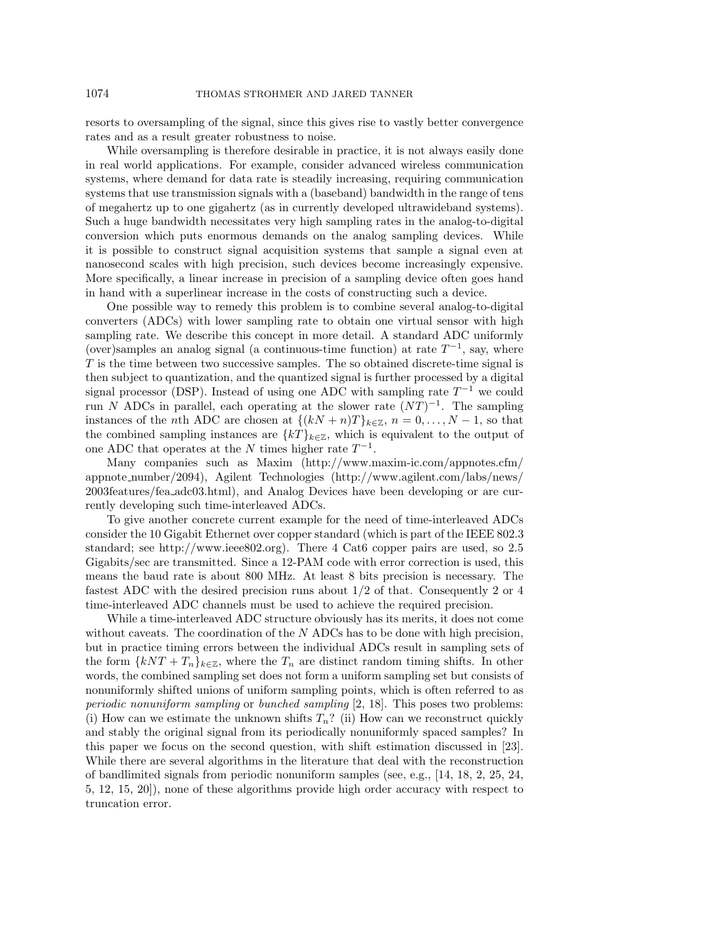resorts to oversampling of the signal, since this gives rise to vastly better convergence rates and as a result greater robustness to noise.

While oversampling is therefore desirable in practice, it is not always easily done in real world applications. For example, consider advanced wireless communication systems, where demand for data rate is steadily increasing, requiring communication systems that use transmission signals with a (baseband) bandwidth in the range of tens of megahertz up to one gigahertz (as in currently developed ultrawideband systems). Such a huge bandwidth necessitates very high sampling rates in the analog-to-digital conversion which puts enormous demands on the analog sampling devices. While it is possible to construct signal acquisition systems that sample a signal even at nanosecond scales with high precision, such devices become increasingly expensive. More specifically, a linear increase in precision of a sampling device often goes hand in hand with a superlinear increase in the costs of constructing such a device.

One possible way to remedy this problem is to combine several analog-to-digital converters (ADCs) with lower sampling rate to obtain one virtual sensor with high sampling rate. We describe this concept in more detail. A standard ADC uniformly (over)samples an analog signal (a continuous-time function) at rate  $T^{-1}$ , say, where T is the time between two successive samples. The so obtained discrete-time signal is then subject to quantization, and the quantized signal is further processed by a digital signal processor (DSP). Instead of using one ADC with sampling rate  $T^{-1}$  we could run N ADCs in parallel, each operating at the slower rate  $(NT)^{-1}$ . The sampling instances of the *n*th ADC are chosen at  $\{(kN+n)T\}_{k\in\mathbb{Z}}$ ,  $n=0,\ldots,N-1$ , so that the combined sampling instances are  $\{kT\}_{k\in\mathbb{Z}}$ , which is equivalent to the output of one ADC that operates at the N times higher rate  $T^{-1}$ .

Many companies such as Maxim (http://www.maxim-ic.com/appnotes.cfm/ appnote number/2094), Agilent Technologies (http://www.agilent.com/labs/news/ 2003features/fea adc03.html), and Analog Devices have been developing or are currently developing such time-interleaved ADCs.

To give another concrete current example for the need of time-interleaved ADCs consider the 10 Gigabit Ethernet over copper standard (which is part of the IEEE 802.3 standard; see http://www.ieee802.org). There 4 Cat6 copper pairs are used, so 2.5 Gigabits/sec are transmitted. Since a 12-PAM code with error correction is used, this means the baud rate is about 800 MHz. At least 8 bits precision is necessary. The fastest ADC with the desired precision runs about 1/2 of that. Consequently 2 or 4 time-interleaved ADC channels must be used to achieve the required precision.

While a time-interleaved ADC structure obviously has its merits, it does not come without caveats. The coordination of the  $N$  ADCs has to be done with high precision, but in practice timing errors between the individual ADCs result in sampling sets of the form  $\{kNT + T_n\}_{k\in\mathbb{Z}}$ , where the  $T_n$  are distinct random timing shifts. In other words, the combined sampling set does not form a uniform sampling set but consists of nonuniformly shifted unions of uniform sampling points, which is often referred to as periodic nonuniform sampling or bunched sampling  $[2, 18]$ . This poses two problems: (i) How can we estimate the unknown shifts  $T_n$ ? (ii) How can we reconstruct quickly and stably the original signal from its periodically nonuniformly spaced samples? In this paper we focus on the second question, with shift estimation discussed in [23]. While there are several algorithms in the literature that deal with the reconstruction of bandlimited signals from periodic nonuniform samples (see, e.g., [14, 18, 2, 25, 24, 5, 12, 15, 20]), none of these algorithms provide high order accuracy with respect to truncation error.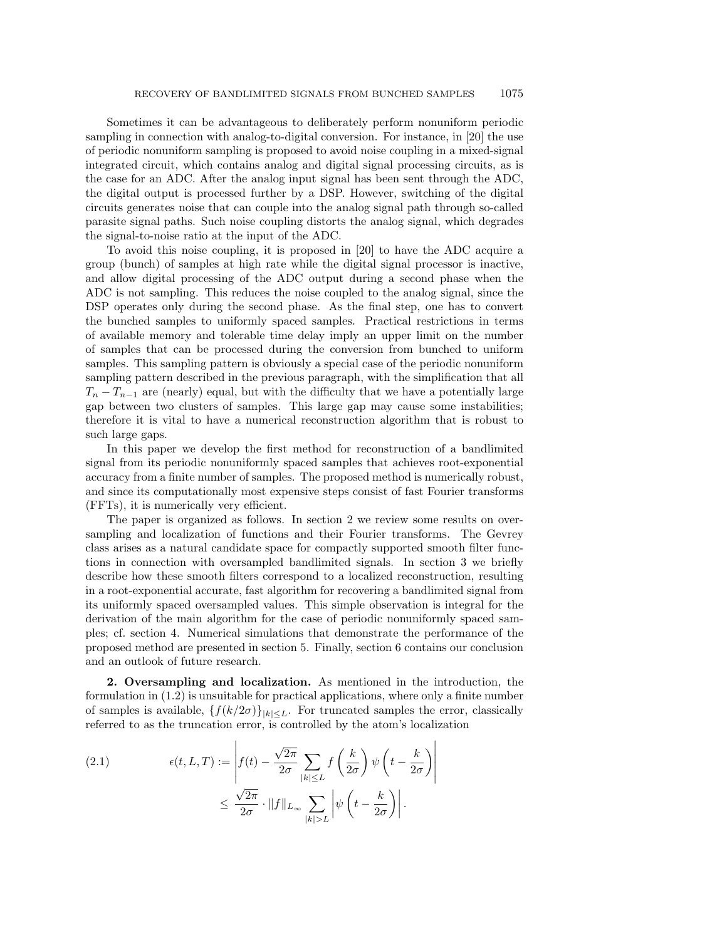Sometimes it can be advantageous to deliberately perform nonuniform periodic sampling in connection with analog-to-digital conversion. For instance, in [20] the use of periodic nonuniform sampling is proposed to avoid noise coupling in a mixed-signal integrated circuit, which contains analog and digital signal processing circuits, as is the case for an ADC. After the analog input signal has been sent through the ADC, the digital output is processed further by a DSP. However, switching of the digital circuits generates noise that can couple into the analog signal path through so-called parasite signal paths. Such noise coupling distorts the analog signal, which degrades the signal-to-noise ratio at the input of the ADC.

To avoid this noise coupling, it is proposed in [20] to have the ADC acquire a group (bunch) of samples at high rate while the digital signal processor is inactive, and allow digital processing of the ADC output during a second phase when the ADC is not sampling. This reduces the noise coupled to the analog signal, since the DSP operates only during the second phase. As the final step, one has to convert the bunched samples to uniformly spaced samples. Practical restrictions in terms of available memory and tolerable time delay imply an upper limit on the number of samples that can be processed during the conversion from bunched to uniform samples. This sampling pattern is obviously a special case of the periodic nonuniform sampling pattern described in the previous paragraph, with the simplification that all  $T_n - T_{n-1}$  are (nearly) equal, but with the difficulty that we have a potentially large gap between two clusters of samples. This large gap may cause some instabilities; therefore it is vital to have a numerical reconstruction algorithm that is robust to such large gaps.

In this paper we develop the first method for reconstruction of a bandlimited signal from its periodic nonuniformly spaced samples that achieves root-exponential accuracy from a finite number of samples. The proposed method is numerically robust, and since its computationally most expensive steps consist of fast Fourier transforms (FFTs), it is numerically very efficient.

The paper is organized as follows. In section 2 we review some results on oversampling and localization of functions and their Fourier transforms. The Gevrey class arises as a natural candidate space for compactly supported smooth filter functions in connection with oversampled bandlimited signals. In section 3 we briefly describe how these smooth filters correspond to a localized reconstruction, resulting in a root-exponential accurate, fast algorithm for recovering a bandlimited signal from its uniformly spaced oversampled values. This simple observation is integral for the derivation of the main algorithm for the case of periodic nonuniformly spaced samples; cf. section 4. Numerical simulations that demonstrate the performance of the proposed method are presented in section 5. Finally, section 6 contains our conclusion and an outlook of future research.

**2. Oversampling and localization.** As mentioned in the introduction, the formulation in (1.2) is unsuitable for practical applications, where only a finite number of samples is available,  $\{f(k/2\sigma)\}_{|k|\leq L}$ . For truncated samples the error, classically referred to as the truncation error, is controlled by the atom's localization

(2.1) 
$$
\epsilon(t, L, T) := \left| f(t) - \frac{\sqrt{2\pi}}{2\sigma} \sum_{|k| \le L} f\left(\frac{k}{2\sigma}\right) \psi\left(t - \frac{k}{2\sigma}\right) \right|
$$

$$
\le \frac{\sqrt{2\pi}}{2\sigma} \cdot ||f||_{L_{\infty}} \sum_{|k| > L} \left| \psi\left(t - \frac{k}{2\sigma}\right) \right|.
$$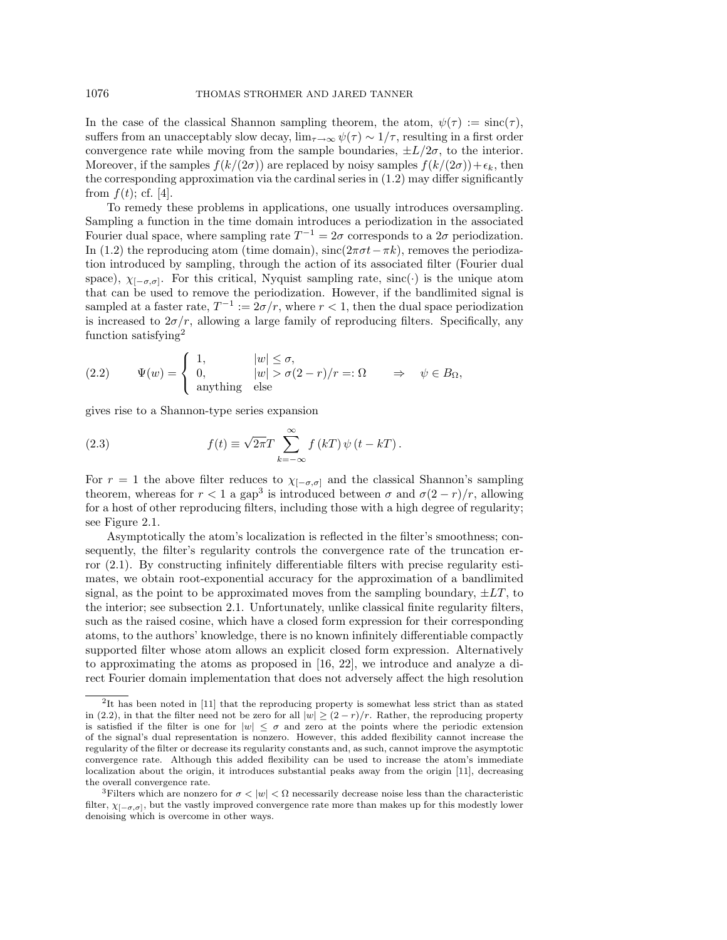In the case of the classical Shannon sampling theorem, the atom,  $\psi(\tau) := \text{sinc}(\tau)$ , suffers from an unacceptably slow decay,  $\lim_{\tau\to\infty} \psi(\tau) \sim 1/\tau$ , resulting in a first order convergence rate while moving from the sample boundaries,  $\pm L/2\sigma$ , to the interior. Moreover, if the samples  $f(k/(2\sigma))$  are replaced by noisy samples  $f(k/(2\sigma)) + \epsilon_k$ , then the corresponding approximation via the cardinal series in (1.2) may differ significantly from  $f(t)$ ; cf. [4].

To remedy these problems in applications, one usually introduces oversampling. Sampling a function in the time domain introduces a periodization in the associated Fourier dual space, where sampling rate  $T^{-1} = 2\sigma$  corresponds to a  $2\sigma$  periodization. In (1.2) the reproducing atom (time domain),  $\text{sinc}(2\pi\sigma t - \pi k)$ , removes the periodization introduced by sampling, through the action of its associated filter (Fourier dual space),  $\chi_{[-\sigma,\sigma]}$ . For this critical, Nyquist sampling rate, sinc(·) is the unique atom that can be used to remove the periodization. However, if the bandlimited signal is sampled at a faster rate,  $T^{-1} := 2\sigma/r$ , where  $r < 1$ , then the dual space periodization is increased to  $2\sigma/r$ , allowing a large family of reproducing filters. Specifically, any function satisfying<sup>2</sup>

(2.2) 
$$
\Psi(w) = \begin{cases} 1, & |w| \le \sigma, \\ 0, & |w| > \sigma(2-r)/r =: \Omega \implies \psi \in B_{\Omega}, \\ \text{anything else} \end{cases}
$$

gives rise to a Shannon-type series expansion

(2.3) 
$$
f(t) \equiv \sqrt{2\pi} T \sum_{k=-\infty}^{\infty} f(kT) \psi(t - kT).
$$

For  $r = 1$  the above filter reduces to  $\chi_{[-\sigma,\sigma]}$  and the classical Shannon's sampling theorem, whereas for  $r < 1$  a gap<sup>3</sup> is introduced between  $\sigma$  and  $\sigma(2-r)/r$ , allowing for a host of other reproducing filters, including those with a high degree of regularity; see Figure 2.1.

Asymptotically the atom's localization is reflected in the filter's smoothness; consequently, the filter's regularity controls the convergence rate of the truncation error (2.1). By constructing infinitely differentiable filters with precise regularity estimates, we obtain root-exponential accuracy for the approximation of a bandlimited signal, as the point to be approximated moves from the sampling boundary,  $\pm LT$ , to the interior; see subsection 2.1. Unfortunately, unlike classical finite regularity filters, such as the raised cosine, which have a closed form expression for their corresponding atoms, to the authors' knowledge, there is no known infinitely differentiable compactly supported filter whose atom allows an explicit closed form expression. Alternatively to approximating the atoms as proposed in [16, 22], we introduce and analyze a direct Fourier domain implementation that does not adversely affect the high resolution

<sup>&</sup>lt;sup>2</sup>It has been noted in [11] that the reproducing property is somewhat less strict than as stated in (2.2), in that the filter need not be zero for all  $|w| \ge (2 - r)/r$ . Rather, the reproducing property is satisfied if the filter is one for  $|w| \leq \sigma$  and zero at the points where the periodic extension of the signal's dual representation is nonzero. However, this added flexibility cannot increase the regularity of the filter or decrease its regularity constants and, as such, cannot improve the asymptotic convergence rate. Although this added flexibility can be used to increase the atom's immediate localization about the origin, it introduces substantial peaks away from the origin [11], decreasing the overall convergence rate.

<sup>&</sup>lt;sup>3</sup>Filters which are nonzero for  $\sigma < |w| < \Omega$  necessarily decrease noise less than the characteristic filter,  $\chi_{[-\sigma,\sigma]}$ , but the vastly improved convergence rate more than makes up for this modestly lower denoising which is overcome in other ways.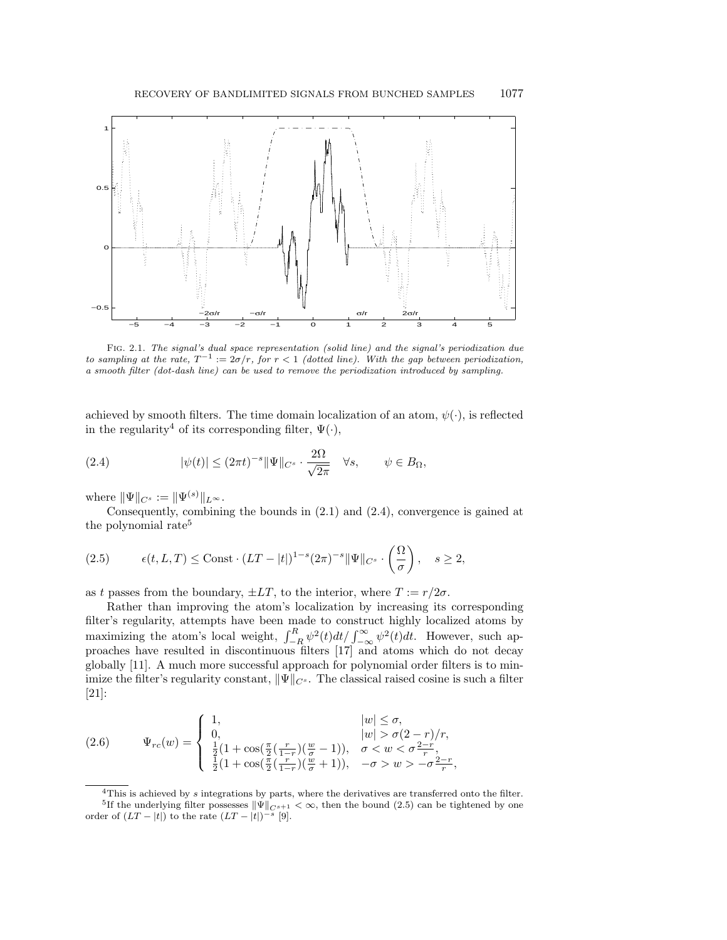

Fig. 2.1. The signal's dual space representation (solid line) and the signal's periodization due to sampling at the rate,  $T^{-1} := 2\sigma/r$ , for  $r < 1$  (dotted line). With the gap between periodization, a smooth filter (dot-dash line) can be used to remove the periodization introduced by sampling.

achieved by smooth filters. The time domain localization of an atom,  $\psi(\cdot)$ , is reflected in the regularity<sup>4</sup> of its corresponding filter,  $\Psi(\cdot)$ ,

(2.4) 
$$
|\psi(t)| \le (2\pi t)^{-s} \|\Psi\|_{C^s} \cdot \frac{2\Omega}{\sqrt{2\pi}} \quad \forall s, \qquad \psi \in B_{\Omega},
$$

where  $\|\Psi\|_{C^s} := \|\Psi^{(s)}\|_{L^{\infty}}$ .

Consequently, combining the bounds in (2.1) and (2.4), convergence is gained at the polynomial rate<sup>5</sup>

(2.5) 
$$
\epsilon(t, L, T) \leq \text{Const} \cdot (LT - |t|)^{1-s} (2\pi)^{-s} \|\Psi\|_{C^s} \cdot \left(\frac{\Omega}{\sigma}\right), \quad s \geq 2,
$$

as t passes from the boundary,  $\pm LT$ , to the interior, where  $T := r/2\sigma$ .

Rather than improving the atom's localization by increasing its corresponding filter's regularity, attempts have been made to construct highly localized atoms by maximizing the atom's local weight,  $\int_{-R}^{R} \psi^2(t) dt / \int_{-\infty}^{\infty} \psi^2(t) dt$ . However, such approaches have resulted in discontinuous filters [17] and atoms which do not decay globally [11]. A much more successful approach for polynomial order filters is to minimize the filter's regularity constant,  $\|\Psi\|_{C^{s}}$ . The classical raised cosine is such a filter [21]:

(2.6) 
$$
\Psi_{rc}(w) = \begin{cases} 1, & |w| \le \sigma, \\ 0, & |w| > \sigma(2-r)/r, \\ \frac{1}{2}(1 + \cos(\frac{\pi}{2}(\frac{r}{1-r})(\frac{w}{\sigma} - 1)), & \sigma < w < \sigma \frac{2-r}{r}, \\ \frac{1}{2}(1 + \cos(\frac{\pi}{2}(\frac{r}{1-r})(\frac{w}{\sigma} + 1)), & -\sigma > w > -\sigma \frac{2-r}{r}, \end{cases}
$$

<sup>&</sup>lt;sup>4</sup>This is achieved by s integrations by parts, where the derivatives are transferred onto the filter. <sup>5</sup>If the underlying filter possesses  $|\Psi||_{C^{s+1}} < \infty$ , then the bound (2.5) can be tightened by one order of  $(LT - |t|)$  to the rate  $(LT - |t|)^{-s}$  [9].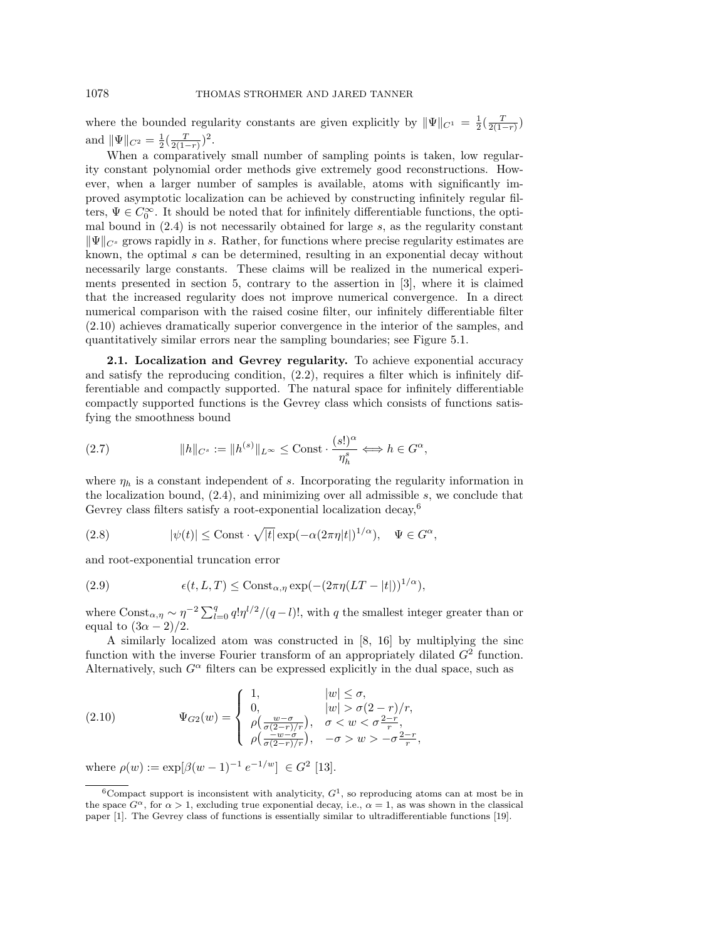where the bounded regularity constants are given explicitly by  $\|\Psi\|_{C^1} = \frac{1}{2}(\frac{T}{2(1-r)})$ and  $\|\Psi\|_{C^2} = \frac{1}{2}(\frac{T}{2(1-r)})^2$ .

When a comparatively small number of sampling points is taken, low regularity constant polynomial order methods give extremely good reconstructions. However, when a larger number of samples is available, atoms with significantly improved asymptotic localization can be achieved by constructing infinitely regular filters,  $\Psi \in C_0^{\infty}$ . It should be noted that for infinitely differentiable functions, the optimal bound in  $(2.4)$  is not necessarily obtained for large s, as the regularity constant  $\|\Psi\|_{C^s}$  grows rapidly in s. Rather, for functions where precise regularity estimates are known, the optimal  $s$  can be determined, resulting in an exponential decay without necessarily large constants. These claims will be realized in the numerical experiments presented in section 5, contrary to the assertion in [3], where it is claimed that the increased regularity does not improve numerical convergence. In a direct numerical comparison with the raised cosine filter, our infinitely differentiable filter (2.10) achieves dramatically superior convergence in the interior of the samples, and quantitatively similar errors near the sampling boundaries; see Figure 5.1.

**2.1. Localization and Gevrey regularity.** To achieve exponential accuracy and satisfy the reproducing condition, (2.2), requires a filter which is infinitely differentiable and compactly supported. The natural space for infinitely differentiable compactly supported functions is the Gevrey class which consists of functions satisfying the smoothness bound

(2.7) 
$$
||h||_{C^s} := ||h^{(s)}||_{L^{\infty}} \leq \text{Const} \cdot \frac{(s!)^{\alpha}}{\eta_h^s} \iff h \in G^{\alpha},
$$

where  $\eta_h$  is a constant independent of s. Incorporating the regularity information in the localization bound, (2.4), and minimizing over all admissible s, we conclude that Gevrey class filters satisfy a root-exponential localization  $\mathrm{decay},{}^6$ 

(2.8) 
$$
|\psi(t)| \leq \text{Const} \cdot \sqrt{|t|} \exp(-\alpha (2\pi \eta |t|)^{1/\alpha}), \quad \Psi \in G^{\alpha},
$$

and root-exponential truncation error

(2.9) 
$$
\epsilon(t, L, T) \leq \text{Const}_{\alpha, \eta} \exp(-(2\pi \eta (LT - |t|))^{1/\alpha}),
$$

where  $\text{Const}_{\alpha,\eta} \sim \eta^{-2} \sum_{l=0}^{q} q! \eta^{l/2} / (q-l)!$ , with q the smallest integer greater than or equal to  $(3\alpha - 2)/2$ .

A similarly localized atom was constructed in [8, 16] by multiplying the sinc function with the inverse Fourier transform of an appropriately dilated  $G<sup>2</sup>$  function. Alternatively, such  $G^{\alpha}$  filters can be expressed explicitly in the dual space, such as

(2.10) 
$$
\Psi_{G2}(w) = \begin{cases} 1, & |w| \leq \sigma, \\ 0, & |w| > \sigma(2-r)/r, \\ \rho\left(\frac{w-\sigma}{\sigma(2-r)/r}\right), & \sigma < w < \sigma\frac{2-r}{r}, \\ \rho\left(\frac{-w-\sigma}{\sigma(2-r)/r}\right), & -\sigma > w > -\sigma\frac{2-r}{r}, \end{cases}
$$

where  $\rho(w) := \exp[\beta(w-1)^{-1} e^{-1/w}] \in G^2$  [13].

<sup>&</sup>lt;sup>6</sup>Compact support is inconsistent with analyticity,  $G<sup>1</sup>$ , so reproducing atoms can at most be in the space  $G^{\alpha}$ , for  $\alpha > 1$ , excluding true exponential decay, i.e.,  $\alpha = 1$ , as was shown in the classical paper [1]. The Gevrey class of functions is essentially similar to ultradifferentiable functions [19].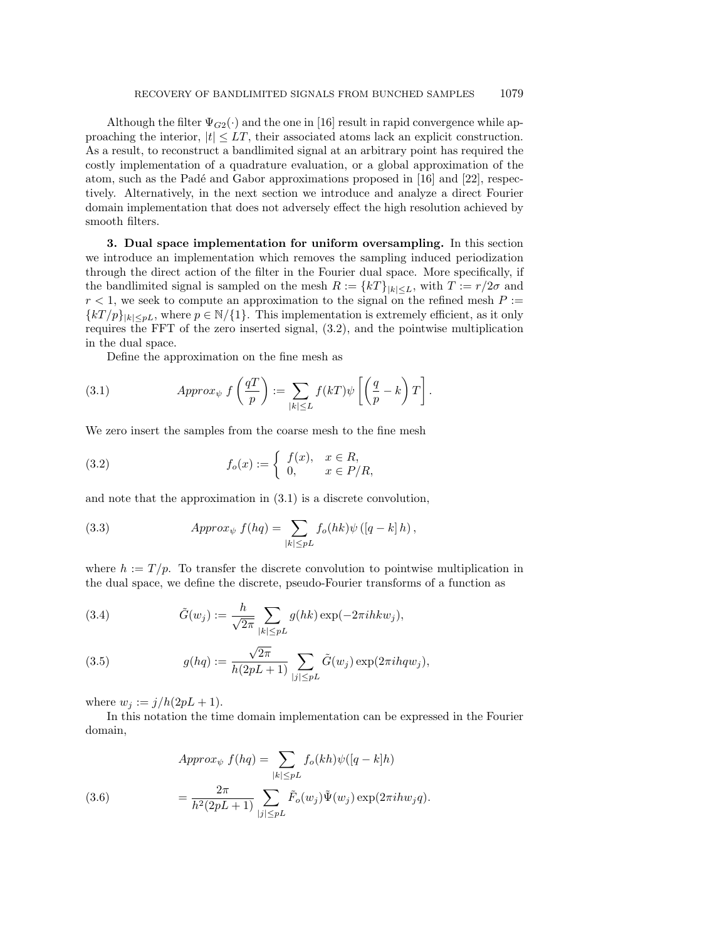Although the filter  $\Psi_{G2}(\cdot)$  and the one in [16] result in rapid convergence while approaching the interior,  $|t| \leq LT$ , their associated atoms lack an explicit construction. As a result, to reconstruct a bandlimited signal at an arbitrary point has required the costly implementation of a quadrature evaluation, or a global approximation of the atom, such as the Padé and Gabor approximations proposed in  $[16]$  and  $[22]$ , respectively. Alternatively, in the next section we introduce and analyze a direct Fourier domain implementation that does not adversely effect the high resolution achieved by smooth filters.

**3. Dual space implementation for uniform oversampling.** In this section we introduce an implementation which removes the sampling induced periodization through the direct action of the filter in the Fourier dual space. More specifically, if the bandlimited signal is sampled on the mesh  $R := \{kT\}_{|k| \le L}$ , with  $T := r/2\sigma$  and  $r < 1$ , we seek to compute an approximation to the signal on the refined mesh  $P :=$  ${kT/p}_{|k| \leq pL}$ , where  $p \in \mathbb{N}/\{1\}$ . This implementation is extremely efficient, as it only requires the FFT of the zero inserted signal, (3.2), and the pointwise multiplication in the dual space.

Define the approximation on the fine mesh as

(3.1) 
$$
Approx_{\psi} f\left(\frac{qT}{p}\right) := \sum_{|k| \le L} f(kT)\psi\left[\left(\frac{q}{p} - k\right)T\right].
$$

We zero insert the samples from the coarse mesh to the fine mesh

(3.2) 
$$
f_o(x) := \begin{cases} f(x), & x \in R, \\ 0, & x \in P/R, \end{cases}
$$

and note that the approximation in (3.1) is a discrete convolution,

(3.3) 
$$
Approx_{\psi} f(hq) = \sum_{|k| \leq pL} f_o(hk) \psi([q-k]h),
$$

where  $h := T/p$ . To transfer the discrete convolution to pointwise multiplication in the dual space, we define the discrete, pseudo-Fourier transforms of a function as

(3.4) 
$$
\tilde{G}(w_j) := \frac{h}{\sqrt{2\pi}} \sum_{|k| \leq pL} g(hk) \exp(-2\pi i h k w_j),
$$

(3.5) 
$$
g(hq) := \frac{\sqrt{2\pi}}{h(2pL+1)} \sum_{|j| \leq pL} \tilde{G}(w_j) \exp(2\pi i h q w_j),
$$

where  $w_j := j/h(2pL + 1)$ .

In this notation the time domain implementation can be expressed in the Fourier domain,

(3.6)  
\n
$$
Approx_{\psi} f(hq) = \sum_{|k| \leq pL} f_o(kh)\psi([q-k]h)
$$
\n
$$
= \frac{2\pi}{h^2(2pL+1)} \sum_{|j| \leq pL} \tilde{F}_o(w_j)\tilde{\Psi}(w_j) \exp(2\pi i h w_j q).
$$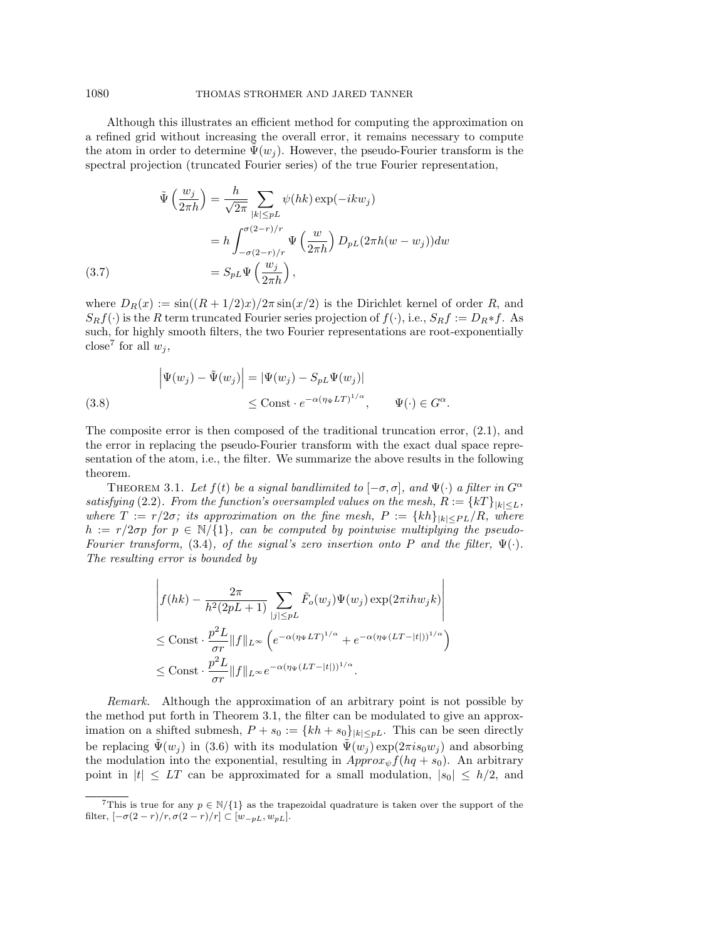Although this illustrates an efficient method for computing the approximation on a refined grid without increasing the overall error, it remains necessary to compute the atom in order to determine  $\Psi(w_i)$ . However, the pseudo-Fourier transform is the spectral projection (truncated Fourier series) of the true Fourier representation,

$$
\tilde{\Psi}\left(\frac{w_j}{2\pi h}\right) = \frac{h}{\sqrt{2\pi}} \sum_{|k| \le pL} \psi(hk) \exp(-ikw_j)
$$
\n
$$
= h \int_{-\sigma(2-r)/r}^{\sigma(2-r)/r} \Psi\left(\frac{w}{2\pi h}\right) D_{pL}(2\pi h(w - w_j)) dw
$$
\n(3.7)\n
$$
= S_{pL} \Psi\left(\frac{w_j}{2\pi h}\right),
$$

where  $D_R(x) := \sin((R + 1/2)x)/2\pi \sin(x/2)$  is the Dirichlet kernel of order R, and  $S_Rf(\cdot)$  is the R term truncated Fourier series projection of  $f(\cdot)$ , i.e.,  $S_Rf := D_R * f$ . As such, for highly smooth filters, the two Fourier representations are root-exponentially close<sup>7</sup> for all  $w_j$ ,

(3.8) 
$$
\left|\Psi(w_j) - \tilde{\Psi}(w_j)\right| = |\Psi(w_j) - S_{pL}\Psi(w_j)|
$$

$$
\leq \text{Const} \cdot e^{-\alpha(\eta_{\Psi}LT)^{1/\alpha}}, \qquad \Psi(\cdot) \in G^{\alpha}.
$$

The composite error is then composed of the traditional truncation error, (2.1), and the error in replacing the pseudo-Fourier transform with the exact dual space representation of the atom, i.e., the filter. We summarize the above results in the following theorem.

THEOREM 3.1. Let  $f(t)$  be a signal bandlimited to  $[-\sigma, \sigma]$ , and  $\Psi(\cdot)$  a filter in  $G^{\alpha}$ satisfying (2.2). From the function's oversampled values on the mesh,  $R := \{kT\}_{|k| \leq L}$ , where  $T := r/2\sigma$ ; its approximation on the fine mesh,  $P := \{kh\}_{|k| \leq PL}/R$ , where  $h := r/2\sigma p$  for  $p \in \mathbb{N}/\{1\}$ , can be computed by pointwise multiplying the pseudo-Fourier transform, (3.4), of the signal's zero insertion onto P and the filter,  $\Psi(\cdot)$ . The resulting error is bounded by

$$
\left| f(hk) - \frac{2\pi}{h^2(2pL+1)} \sum_{|j| \leq pL} \tilde{F}_o(w_j) \Psi(w_j) \exp(2\pi i h w_j k) \right|
$$
  
\n
$$
\leq \text{Const} \cdot \frac{p^2 L}{\sigma r} \|f\|_{L^{\infty}} \left( e^{-\alpha (\eta_{\Psi} LT)^{1/\alpha}} + e^{-\alpha (\eta_{\Psi} (LT - |t|))^{1/\alpha}} \right)
$$
  
\n
$$
\leq \text{Const} \cdot \frac{p^2 L}{\sigma r} \|f\|_{L^{\infty}} e^{-\alpha (\eta_{\Psi} (LT - |t|))^{1/\alpha}}.
$$

Remark. Although the approximation of an arbitrary point is not possible by the method put forth in Theorem 3.1, the filter can be modulated to give an approximation on a shifted submesh,  $P + s_0 := \{kh + s_0\}_{|k| \leq pL}$ . This can be seen directly be replacing  $\tilde{\Psi}(w_i)$  in (3.6) with its modulation  $\tilde{\Psi}(w_i) \exp(2\pi i s_0 w_i)$  and absorbing the modulation into the exponential, resulting in  $Approx_{\psi} f(hq + s_0)$ . An arbitrary point in  $|t| \leq LT$  can be approximated for a small modulation,  $|s_0| \leq h/2$ , and

<sup>&</sup>lt;sup>7</sup>This is true for any  $p \in \mathbb{N}/\{1\}$  as the trapezoidal quadrature is taken over the support of the filter,  $[-\sigma(2-r)/r, \sigma(2-r)/r] \subset [w_{-pL}, w_{pL}].$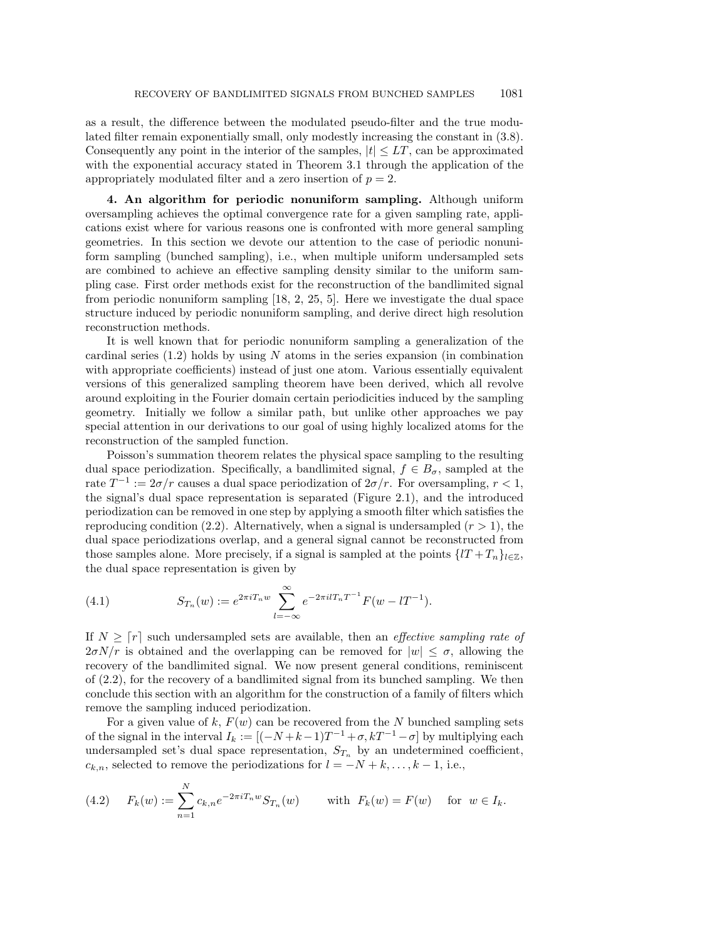as a result, the difference between the modulated pseudo-filter and the true modulated filter remain exponentially small, only modestly increasing the constant in (3.8). Consequently any point in the interior of the samples,  $|t| \leq LT$ , can be approximated with the exponential accuracy stated in Theorem 3.1 through the application of the appropriately modulated filter and a zero insertion of  $p = 2$ .

**4. An algorithm for periodic nonuniform sampling.** Although uniform oversampling achieves the optimal convergence rate for a given sampling rate, applications exist where for various reasons one is confronted with more general sampling geometries. In this section we devote our attention to the case of periodic nonuniform sampling (bunched sampling), i.e., when multiple uniform undersampled sets are combined to achieve an effective sampling density similar to the uniform sampling case. First order methods exist for the reconstruction of the bandlimited signal from periodic nonuniform sampling [18, 2, 25, 5]. Here we investigate the dual space structure induced by periodic nonuniform sampling, and derive direct high resolution reconstruction methods.

It is well known that for periodic nonuniform sampling a generalization of the cardinal series  $(1.2)$  holds by using N atoms in the series expansion (in combination with appropriate coefficients) instead of just one atom. Various essentially equivalent versions of this generalized sampling theorem have been derived, which all revolve around exploiting in the Fourier domain certain periodicities induced by the sampling geometry. Initially we follow a similar path, but unlike other approaches we pay special attention in our derivations to our goal of using highly localized atoms for the reconstruction of the sampled function.

Poisson's summation theorem relates the physical space sampling to the resulting dual space periodization. Specifically, a bandlimited signal,  $f \in B_{\sigma}$ , sampled at the rate  $T^{-1} := 2\sigma/r$  causes a dual space periodization of  $2\sigma/r$ . For oversampling,  $r < 1$ , the signal's dual space representation is separated (Figure 2.1), and the introduced periodization can be removed in one step by applying a smooth filter which satisfies the reproducing condition (2.2). Alternatively, when a signal is undersampled  $(r > 1)$ , the dual space periodizations overlap, and a general signal cannot be reconstructed from those samples alone. More precisely, if a signal is sampled at the points  $\{lT + T_n\}_{l \in \mathbb{Z}}$ , the dual space representation is given by

(4.1) 
$$
S_{T_n}(w) := e^{2\pi i T_n w} \sum_{l=-\infty}^{\infty} e^{-2\pi i l T_n T^{-1}} F(w - lT^{-1}).
$$

If  $N \geq \lceil r \rceil$  such undersampled sets are available, then an *effective sampling rate of*  $2\sigma N/r$  is obtained and the overlapping can be removed for  $|w| < \sigma$ , allowing the recovery of the bandlimited signal. We now present general conditions, reminiscent of (2.2), for the recovery of a bandlimited signal from its bunched sampling. We then conclude this section with an algorithm for the construction of a family of filters which remove the sampling induced periodization.

For a given value of k,  $F(w)$  can be recovered from the N bunched sampling sets of the signal in the interval  $I_k := [(-N+k-1)T^{-1} + \sigma, kT^{-1} - \sigma]$  by multiplying each undersampled set's dual space representation,  $S_{T_n}$  by an undetermined coefficient,  $c_{k,n}$ , selected to remove the periodizations for  $l = -N + k, \ldots, k - 1$ , i.e.,

(4.2) 
$$
F_k(w) := \sum_{n=1}^N c_{k,n} e^{-2\pi i T_n w} S_{T_n}(w)
$$
 with  $F_k(w) = F(w)$  for  $w \in I_k$ .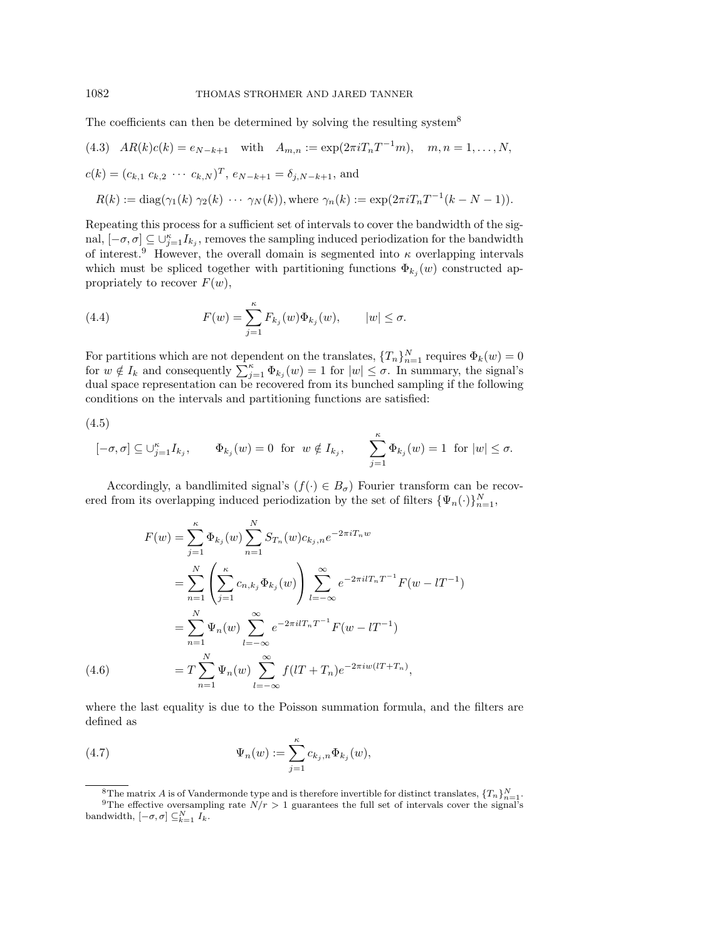The coefficients can then be determined by solving the resulting system<sup>8</sup>

(4.3) 
$$
AR(k)c(k) = e_{N-k+1}
$$
 with  $A_{m,n} := \exp(2\pi i T_n T^{-1}m)$ ,  $m, n = 1,..., N$ ,  
\n
$$
c(k) = (c_{k,1} c_{k,2} \cdots c_{k,N})^T, e_{N-k+1} = \delta_{j,N-k+1}
$$
, and  
\n
$$
R(k) := \text{diag}(\gamma_1(k) \gamma_2(k) \cdots \gamma_N(k))
$$
, where  $\gamma_n(k) := \exp(2\pi i T_n T^{-1}(k - N - 1))$ .

Repeating this process for a sufficient set of intervals to cover the bandwidth of the signal,  $[-\sigma, \sigma] \subseteq \bigcup_{j=1}^{\kappa} I_{k_j}$ , removes the sampling induced periodization for the bandwidth of interest.<sup>9</sup> However, the overall domain is segmented into  $\kappa$  overlapping intervals which must be spliced together with partitioning functions  $\Phi_{k_j}(w)$  constructed appropriately to recover  $F(w)$ ,

(4.4) 
$$
F(w) = \sum_{j=1}^{\kappa} F_{k_j}(w) \Phi_{k_j}(w), \qquad |w| \leq \sigma.
$$

For partitions which are not dependent on the translates,  $\{T_n\}_{n=1}^N$  requires  $\Phi_k(w)=0$ for  $w \notin I_k$  and consequently  $\sum_{j=1}^{\kappa} \Phi_{k_j}(w) = 1$  for  $|w| \leq \sigma$ . In summary, the signal's dual space representation can be recovered from its bunched sampling if the following conditions on the intervals and partitioning functions are satisfied:

(4.5)

$$
[-\sigma, \sigma] \subseteq \bigcup_{j=1}^{\kappa} I_{k_j}, \qquad \Phi_{k_j}(w) = 0 \text{ for } w \notin I_{k_j}, \qquad \sum_{j=1}^{\kappa} \Phi_{k_j}(w) = 1 \text{ for } |w| \leq \sigma.
$$

Accordingly, a bandlimited signal's  $(f(\cdot) \in B_{\sigma})$  Fourier transform can be recovered from its overlapping induced periodization by the set of filters  $\{\Psi_n(\cdot)\}_{n=1}^N$ ,

$$
F(w) = \sum_{j=1}^{\kappa} \Phi_{k_j}(w) \sum_{n=1}^{N} S_{T_n}(w) c_{k_j, n} e^{-2\pi i T_n w}
$$
  
= 
$$
\sum_{n=1}^{N} \left( \sum_{j=1}^{\kappa} c_{n, k_j} \Phi_{k_j}(w) \right) \sum_{l=-\infty}^{\infty} e^{-2\pi i l T_n T^{-1}} F(w - lT^{-1})
$$
  
= 
$$
\sum_{n=1}^{N} \Psi_n(w) \sum_{l=-\infty}^{\infty} e^{-2\pi i l T_n T^{-1}} F(w - lT^{-1})
$$
  
(4.6) 
$$
= T \sum_{n=1}^{N} \Psi_n(w) \sum_{l=-\infty}^{\infty} f(lT + T_n) e^{-2\pi i w(lT + T_n)},
$$

where the last equality is due to the Poisson summation formula, and the filters are defined as

(4.7) 
$$
\Psi_n(w) := \sum_{j=1}^{\kappa} c_{k_j,n} \Phi_{k_j}(w),
$$

<sup>&</sup>lt;sup>8</sup>The matrix A is of Vandermonde type and is therefore invertible for distinct translates,  $\{T_n\}_{n=1}^N$ . <sup>9</sup>The effective oversampling rate  $N/r > 1$  guarantees the full set of intervals cover the signal's bandwidth,  $[-\sigma, \sigma] \subseteq_{k=1}^{N} I_k$ .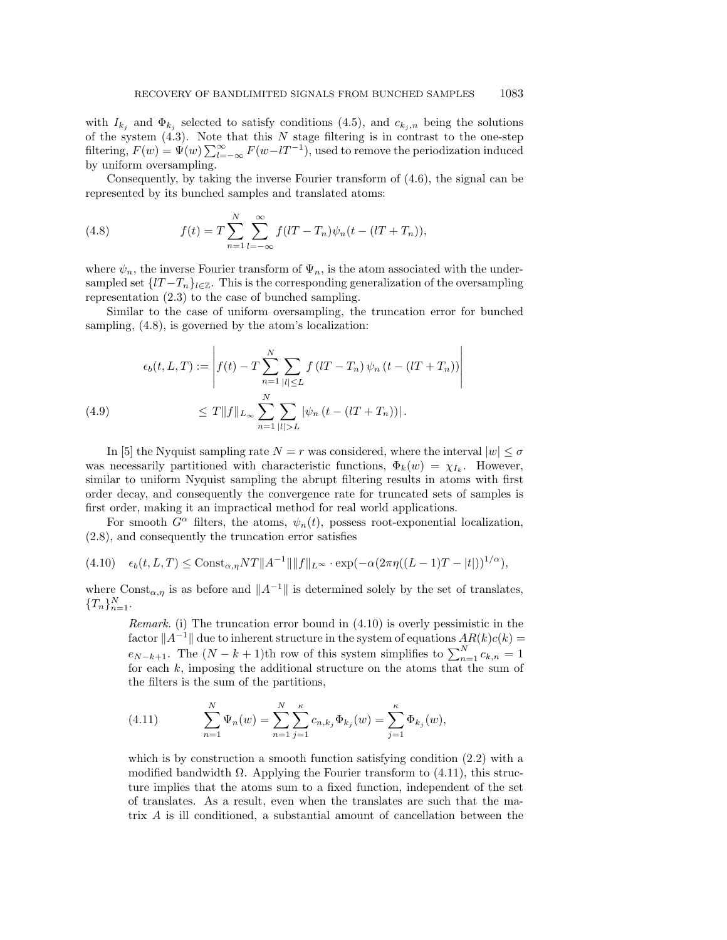with  $I_{k_j}$  and  $\Phi_{k_j}$  selected to satisfy conditions (4.5), and  $c_{k_j,n}$  being the solutions of the system  $(4.3)$ . Note that this N stage filtering is in contrast to the one-step filtering,  $F(w) = \Psi(w) \sum_{l=-\infty}^{\infty} F(w - lT^{-1})$ , used to remove the periodization induced by uniform oversampling.

Consequently, by taking the inverse Fourier transform of (4.6), the signal can be represented by its bunched samples and translated atoms:

(4.8) 
$$
f(t) = T \sum_{n=1}^{N} \sum_{l=-\infty}^{\infty} f(lT - T_n) \psi_n(t - (lT + T_n)),
$$

where  $\psi_n$ , the inverse Fourier transform of  $\Psi_n$ , is the atom associated with the undersampled set  $\{lT-T_n\}_{l\in\mathbb{Z}}$ . This is the corresponding generalization of the oversampling representation (2.3) to the case of bunched sampling.

Similar to the case of uniform oversampling, the truncation error for bunched sampling, (4.8), is governed by the atom's localization:

(4.9) 
$$
\epsilon_b(t, L, T) := \left| f(t) - T \sum_{n=1}^{N} \sum_{|l| \le L} f(lT - T_n) \psi_n (t - (lT + T_n)) \right|
$$

$$
\le T \|f\|_{L_\infty} \sum_{n=1}^{N} \sum_{|l| > L} |\psi_n (t - (lT + T_n))|.
$$

In [5] the Nyquist sampling rate  $N = r$  was considered, where the interval  $|w| \leq \sigma$ was necessarily partitioned with characteristic functions,  $\Phi_k(w) = \chi_{I_k}$ . However, similar to uniform Nyquist sampling the abrupt filtering results in atoms with first order decay, and consequently the convergence rate for truncated sets of samples is first order, making it an impractical method for real world applications.

For smooth  $G^{\alpha}$  filters, the atoms,  $\psi_n(t)$ , possess root-exponential localization, (2.8), and consequently the truncation error satisfies

$$
(4.10) \quad \epsilon_b(t, L, T) \leq \text{Const}_{\alpha, \eta} NT \|A^{-1}\| \|f\|_{L^{\infty}} \cdot \exp(-\alpha (2\pi \eta((L-1)T - |t|))^{1/\alpha}),
$$

where Const<sub>α,η</sub> is as before and  $||A^{-1}||$  is determined solely by the set of translates,  ${T_n}_{n=1}^N$ .

Remark. (i) The truncation error bound in (4.10) is overly pessimistic in the factor  $||A^{-1}||$  due to inherent structure in the system of equations  $AR(k)c(k) =$  $e_{N-k+1}$ . The  $(N-k+1)$ th row of this system simplifies to  $\sum_{n=1}^{N} c_{k,n} = 1$ for each  $k$ , imposing the additional structure on the atoms that the sum of the filters is the sum of the partitions,

(4.11) 
$$
\sum_{n=1}^{N} \Psi_n(w) = \sum_{n=1}^{N} \sum_{j=1}^{K} c_{n,k_j} \Phi_{k_j}(w) = \sum_{j=1}^{K} \Phi_{k_j}(w),
$$

which is by construction a smooth function satisfying condition  $(2.2)$  with a modified bandwidth  $\Omega$ . Applying the Fourier transform to (4.11), this structure implies that the atoms sum to a fixed function, independent of the set of translates. As a result, even when the translates are such that the matrix A is ill conditioned, a substantial amount of cancellation between the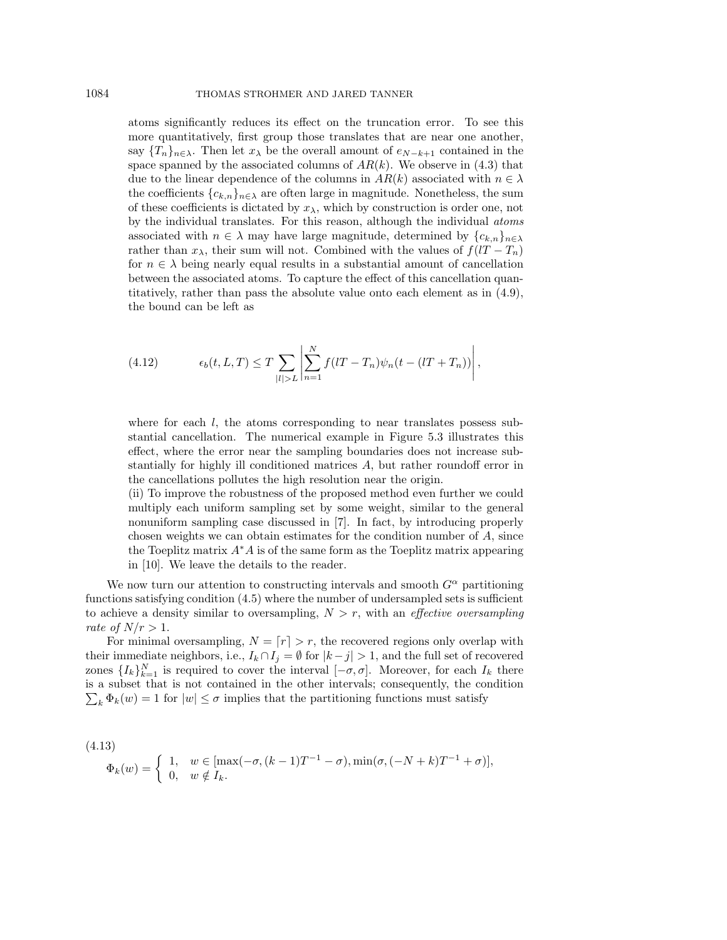atoms significantly reduces its effect on the truncation error. To see this more quantitatively, first group those translates that are near one another, say  $\{T_n\}_{n\in\lambda}$ . Then let  $x_\lambda$  be the overall amount of  $e_{N-k+1}$  contained in the space spanned by the associated columns of  $AR(k)$ . We observe in (4.3) that due to the linear dependence of the columns in  $AR(k)$  associated with  $n \in \lambda$ the coefficients  ${c_{k,n}}_{n\in\lambda}$  are often large in magnitude. Nonetheless, the sum of these coefficients is dictated by  $x_{\lambda}$ , which by construction is order one, not by the individual translates. For this reason, although the individual atoms associated with  $n \in \lambda$  may have large magnitude, determined by  ${c_{k,n}}_{n\in\lambda}$ rather than  $x_\lambda$ , their sum will not. Combined with the values of  $f(T-T_n)$ for  $n \in \lambda$  being nearly equal results in a substantial amount of cancellation between the associated atoms. To capture the effect of this cancellation quantitatively, rather than pass the absolute value onto each element as in (4.9), the bound can be left as

(4.12) 
$$
\epsilon_b(t,L,T) \leq T \sum_{|l|>L} \left| \sum_{n=1}^N f(lT-T_n) \psi_n(t-(lT+T_n)) \right|,
$$

where for each  $l$ , the atoms corresponding to near translates possess substantial cancellation. The numerical example in Figure 5.3 illustrates this effect, where the error near the sampling boundaries does not increase substantially for highly ill conditioned matrices A, but rather roundoff error in the cancellations pollutes the high resolution near the origin.

(ii) To improve the robustness of the proposed method even further we could multiply each uniform sampling set by some weight, similar to the general nonuniform sampling case discussed in [7]. In fact, by introducing properly chosen weights we can obtain estimates for the condition number of  $A$ , since the Toeplitz matrix  $A^*A$  is of the same form as the Toeplitz matrix appearing in [10]. We leave the details to the reader.

We now turn our attention to constructing intervals and smooth  $G^{\alpha}$  partitioning functions satisfying condition (4.5) where the number of undersampled sets is sufficient to achieve a density similar to oversampling,  $N>r$ , with an *effective oversampling* rate of  $N/r > 1$ .

For minimal oversampling,  $N = \lfloor r \rfloor > r$ , the recovered regions only overlap with their immediate neighbors, i.e.,  $I_k \cap I_j = \emptyset$  for  $|k-j| > 1$ , and the full set of recovered zones  $\{I_k\}_{k=1}^N$  is required to cover the interval  $[-\sigma, \sigma]$ . Moreover, for each  $I_k$  there is a subset that is not contained in the other intervals; consequently, the condition  $\sum_{k} \Phi_k(w) = 1$  for  $|w| \leq \sigma$  implies that the partitioning functions must satisfy

(4.13)

$$
\Phi_k(w) = \begin{cases} 1, & w \in [\max(-\sigma, (k-1)T^{-1} - \sigma), \min(\sigma, (-N+k)T^{-1} + \sigma)], \\ 0, & w \notin I_k. \end{cases}
$$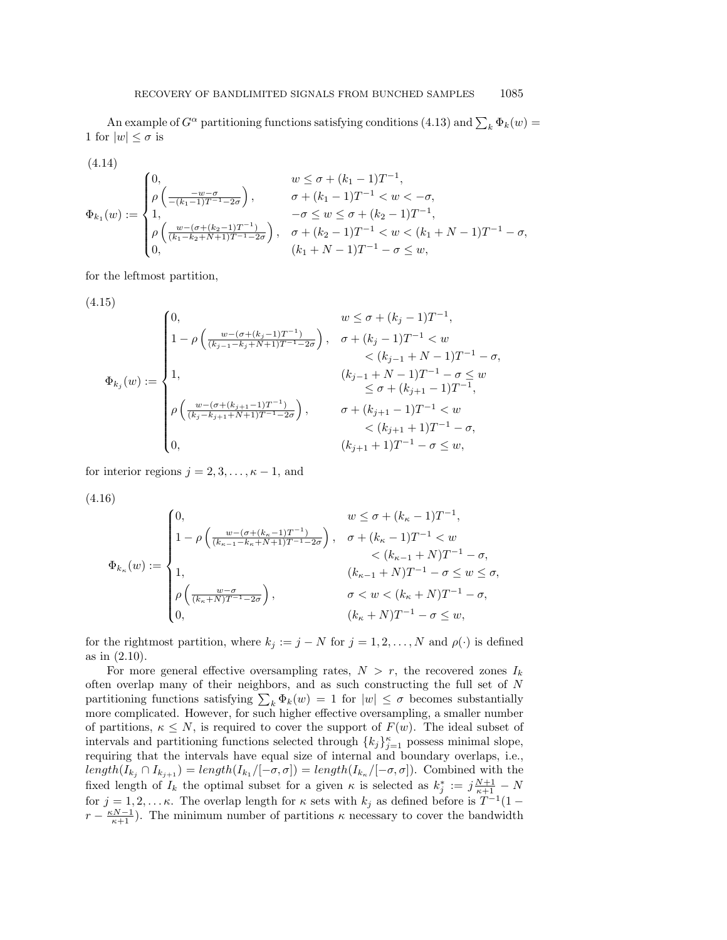An example of  $G^{\alpha}$  partitioning functions satisfying conditions (4.13) and  $\sum_{k} \Phi_{k}(w) =$ 1 for  $|w| \leq \sigma$  is

$$
(4.14)
$$

$$
\Phi_{k_1}(w) := \begin{cases} 0, & w \leq \sigma + (k_1 - 1)T^{-1}, \\ \rho\left(\frac{-w - \sigma}{-(k_1 - 1)T^{-1} - 2\sigma}\right), & \sigma + (k_1 - 1)T^{-1} < w < -\sigma, \\ 1, & -\sigma \leq w \leq \sigma + (k_2 - 1)T^{-1}, \\ \rho\left(\frac{w - (\sigma + (k_2 - 1)T^{-1})}{(k_1 - k_2 + N + 1)T^{-1} - 2\sigma}\right), & \sigma + (k_2 - 1)T^{-1} < w < (k_1 + N - 1)T^{-1} - \sigma, \\ 0, & (k_1 + N - 1)T^{-1} - \sigma \leq w, \end{cases}
$$

for the leftmost partition,

(4.15)

$$
\Phi_{k_j}(w) := \begin{cases}\n0, & w \leq \sigma + (k_j - 1)T^{-1}, \\
1 - \rho \left( \frac{w - (\sigma + (k_j - 1)T^{-1})}{(k_{j-1} - k_j + N + 1)T^{-1} - 2\sigma} \right), & \sigma + (k_j - 1)T^{-1} < w \\
1, & & < (k_{j-1} + N - 1)T^{-1} - \sigma, \\
1, & & (k_{j-1} + N - 1)T^{-1} - \sigma \leq w \\
\varphi \left( \frac{w - (\sigma + (k_{j+1} - 1)T^{-1})}{(k_j - k_{j+1} + N + 1)T^{-1} - 2\sigma} \right), & \sigma + (k_{j+1} - 1)T^{-1} < w \\
0, & & (k_{j+1} + 1)T^{-1} - \sigma, \\
0, & & (k_{j+1} + 1)T^{-1} - \sigma \leq w,\n\end{cases}
$$

for interior regions  $j = 2, 3, \ldots, \kappa - 1$ , and

(4.16)

$$
\Phi_{k_{\kappa}}(w) := \begin{cases}\n0, & w \leq \sigma + (k_{\kappa} - 1)T^{-1}, \\
1 - \rho \left( \frac{w - (\sigma + (k_{\kappa} - 1)T^{-1})}{(k_{\kappa - 1} - k_{\kappa} + N + 1)T^{-1} - 2\sigma} \right), & \sigma + (k_{\kappa} - 1)T^{-1} < w \\
1, & & < (k_{\kappa - 1} + N)T^{-1} - \sigma, \\
1, & & (k_{\kappa - 1} + N)T^{-1} - \sigma \leq w \leq \sigma, \\
\rho \left( \frac{w - \sigma}{(k_{\kappa} + N)T^{-1} - 2\sigma} \right), & \sigma < w < (k_{\kappa} + N)T^{-1} - \sigma, \\
0, & & (k_{\kappa} + N)T^{-1} - \sigma \leq w,\n\end{cases}
$$

for the rightmost partition, where  $k_j := j - N$  for  $j = 1, 2, ..., N$  and  $\rho(\cdot)$  is defined as in (2.10).

For more general effective oversampling rates,  $N > r$ , the recovered zones  $I_k$ often overlap many of their neighbors, and as such constructing the full set of N partitioning functions satisfying  $\sum_k \Phi_k(w) = 1$  for  $|w| \leq \sigma$  becomes substantially more complicated. However, for such higher effective oversampling, a smaller number of partitions,  $\kappa \leq N$ , is required to cover the support of  $F(w)$ . The ideal subset of intervals and partitioning functions selected through  $\{k_j\}_{j=1}^{\kappa}$  possess minimal slope, requiring that the intervals have equal size of internal and boundary overlaps, i.e.,  $length(I_{k_j} \cap I_{k_{j+1}}) = length(I_{k_1}/[-\sigma,\sigma]) = length(I_{k_{\kappa}}/[-\sigma,\sigma])$ . Combined with the fixed length of  $I_k$  the optimal subset for a given  $\kappa$  is selected as  $k_j^* := j\frac{N+1}{\kappa+1} - N$ for  $j = 1, 2, \ldots$ κ. The overlap length for  $\kappa$  sets with  $k_j$  as defined before is  $T^{-1}(1$  $r - \frac{\kappa N - 1}{\kappa + 1}$ ). The minimum number of partitions  $\kappa$  necessary to cover the bandwidth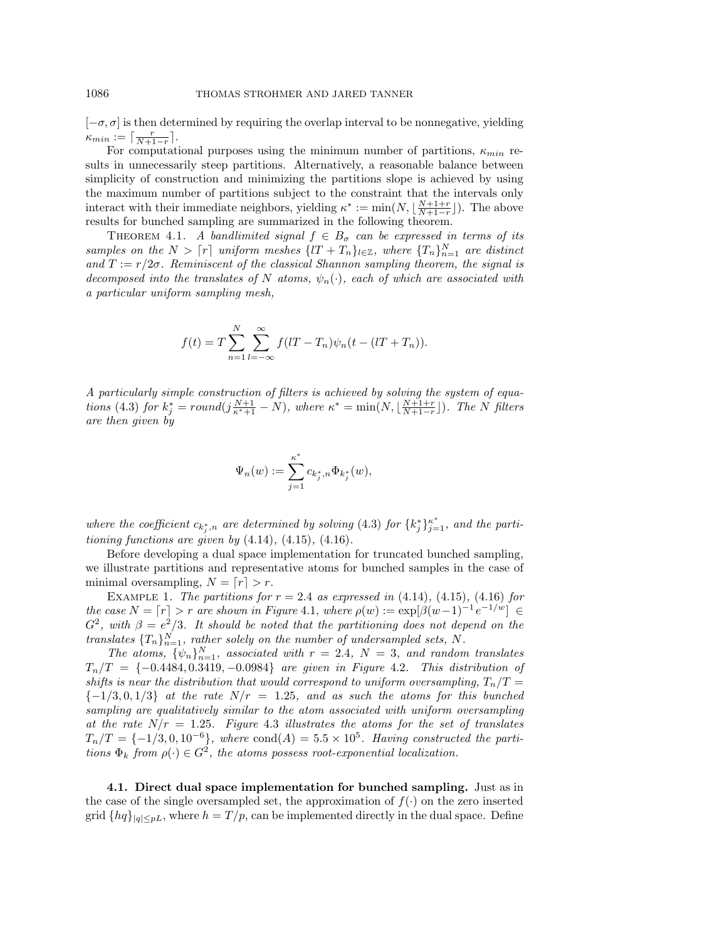$[-\sigma, \sigma]$  is then determined by requiring the overlap interval to be nonnegative, yielding  $\kappa_{min} := \left[ \frac{r}{N+1-r} \right].$ 

For computational purposes using the minimum number of partitions,  $\kappa_{min}$  results in unnecessarily steep partitions. Alternatively, a reasonable balance between simplicity of construction and minimizing the partitions slope is achieved by using the maximum number of partitions subject to the constraint that the intervals only interact with their immediate neighbors, yielding  $\kappa^* := \min(N, \lfloor \frac{N+1+r}{N+1-r} \rfloor)$ . The above results for bunched sampling are summarized in the following theorem.

THEOREM 4.1. A bandlimited signal  $f \in B_{\sigma}$  can be expressed in terms of its samples on the  $N > \lceil r \rceil$  uniform meshes  $\{lT + T_n\}_{l \in \mathbb{Z}}$ , where  $\{T_n\}_{n=1}^N$  are distinct and  $T := r/2\sigma$ . Reminiscent of the classical Shannon sampling theorem, the signal is decomposed into the translates of N atoms,  $\psi_n(\cdot)$ , each of which are associated with a particular uniform sampling mesh,

$$
f(t) = T \sum_{n=1}^{N} \sum_{l=-\infty}^{\infty} f(lT - T_n) \psi_n(t - (lT + T_n)).
$$

A particularly simple construction of filters is achieved by solving the system of equations (4.3) for  $k_j^* = round(j\frac{N+1}{\kappa^*+1} - N)$ , where  $\kappa^* = min(N, \lfloor \frac{N+1+r}{N+1-r} \rfloor)$ . The N filters are then given by

$$
\Psi_n(w):=\sum_{j=1}^{\kappa^*} c_{k_j^*,n} \Phi_{k_j^*}(w),
$$

where the coefficient  $c_{k_j^*,n}$  are determined by solving (4.3) for  $\{k_j^*\}_{j=1}^{\kappa^*}$ , and the partitioning functions are given by  $(4.14)$ ,  $(4.15)$ ,  $(4.16)$ .

Before developing a dual space implementation for truncated bunched sampling, we illustrate partitions and representative atoms for bunched samples in the case of minimal oversampling,  $N = \lfloor r \rfloor > r$ .

EXAMPLE 1. The partitions for  $r = 2.4$  as expressed in (4.14), (4.15), (4.16) for the case  $N = \lceil r \rceil > r$  are shown in Figure 4.1, where  $\rho(w) := \exp[\beta(w-1)^{-1}e^{-1/w}] \in$  $G^2$ , with  $\beta = e^2/3$ . It should be noted that the partitioning does not depend on the translates  $\{T_n\}_{n=1}^N$ , rather solely on the number of undersampled sets, N.

The atoms,  $\{\psi_n\}_{n=1}^N$ , associated with  $r = 2.4$ ,  $N = 3$ , and random translates  $T_n/T = \{-0.4484, 0.3419, -0.0984\}$  are given in Figure 4.2. This distribution of shifts is near the distribution that would correspond to uniform oversampling,  $T_n/T =$  ${-1/3, 0, 1/3}$  at the rate  $N/r = 1.25$ , and as such the atoms for this bunched sampling are qualitatively similar to the atom associated with uniform oversampling at the rate  $N/r = 1.25$ . Figure 4.3 illustrates the atoms for the set of translates  $T_n/T = \{-1/3, 0, 10^{-6}\},$  where cond(A) = 5.5 × 10<sup>5</sup>. Having constructed the partitions  $\Phi_k$  from  $\rho(\cdot) \in G^2$ , the atoms possess root-exponential localization.

**4.1. Direct dual space implementation for bunched sampling.** Just as in the case of the single oversampled set, the approximation of  $f(\cdot)$  on the zero inserted grid  $\{hq\}_{|q| \leq pL}$ , where  $h = T/p$ , can be implemented directly in the dual space. Define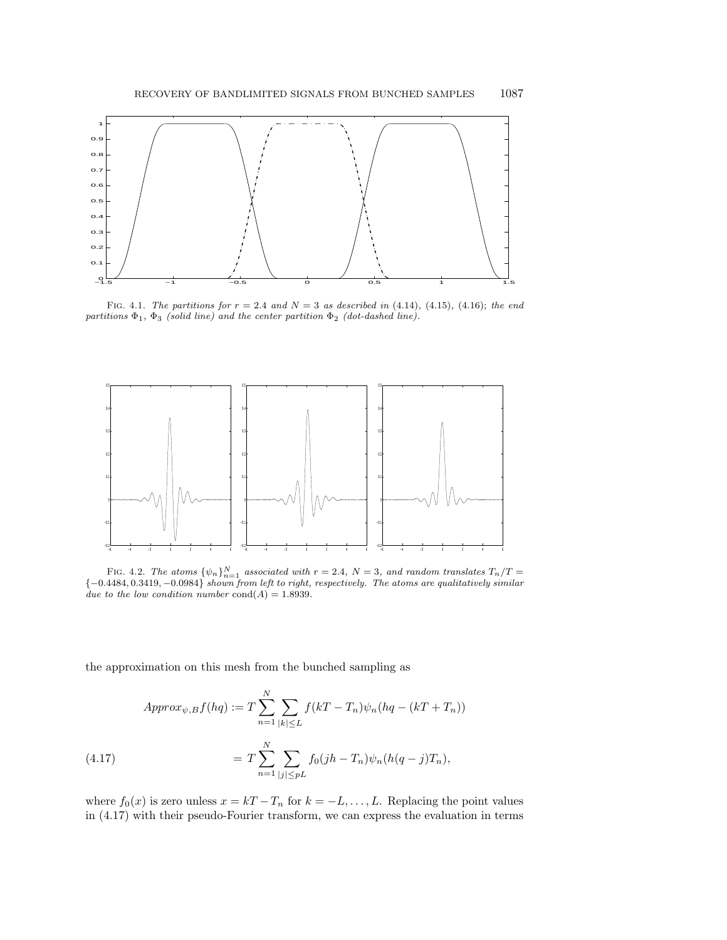

FIG. 4.1. The partitions for  $r = 2.4$  and  $N = 3$  as described in (4.14), (4.15), (4.16); the end partitions  $\Phi_1$ ,  $\Phi_3$  (solid line) and the center partition  $\Phi_2$  (dot-dashed line).



FIG. 4.2. The atoms  $\{\psi_n\}_{n=1}^N$  associated with  $r = 2.4$ ,  $N = 3$ , and random translates  $T_n/T = \{-0.4484, 0.3419, -0.0984\}$  shown from left to right, respectively. The atoms are qualitatively similar due to the low condition number  $cond(A)=1.8939$ .

the approximation on this mesh from the bunched sampling as

$$
Approx_{\psi,B} f(hq) := T \sum_{n=1}^{N} \sum_{|k| \le L} f(kT - T_n) \psi_n(hq - (kT + T_n))
$$

$$
= T \sum_{n=1}^{N} \sum_{|j| \le pL} f_0(jh - T_n) \psi_n(h(q - j)T_n),
$$

where  $f_0(x)$  is zero unless  $x = kT - T_n$  for  $k = -L, \ldots, L$ . Replacing the point values in (4.17) with their pseudo-Fourier transform, we can express the evaluation in terms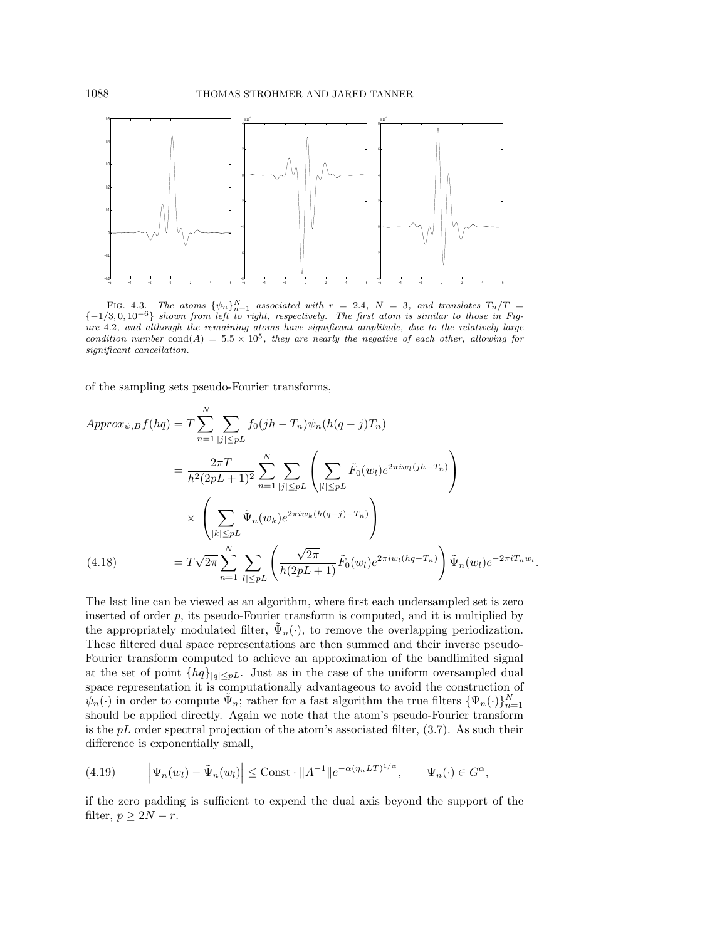

FIG. 4.3. The atoms  $\{\psi_n\}_{n=1}^N$  associated with  $r = 2.4$ ,  $N = 3$ , and translates  $T_n/T = \{-1/3, 0, 10^{-6}\}$  shown from left to right, respectively. The first atom is similar to those in Figure 4.2, and although the remaining atoms have significant amplitude, due to the relatively large condition number cond(A) =  $5.5 \times 10^5$ , they are nearly the negative of each other, allowing for significant cancellation.

of the sampling sets pseudo-Fourier transforms,

$$
Approx_{\psi,B} f(hq) = T \sum_{n=1}^{N} \sum_{|j| \leq pL} f_0(jh - T_n) \psi_n(h(q - j)T_n)
$$
  
= 
$$
\frac{2\pi T}{h^2(2pL + 1)^2} \sum_{n=1}^{N} \sum_{|j| \leq pL} \left( \sum_{|l| \leq pL} \tilde{F}_0(w_l) e^{2\pi i w_l(jh - T_n)} \right)
$$
  

$$
\times \left( \sum_{|k| \leq pL} \tilde{\Psi}_n(w_k) e^{2\pi i w_k(h(q - j) - T_n)} \right)
$$
  
(4.18) = 
$$
T \sqrt{2\pi} \sum_{n=1}^{N} \sum_{|l| \leq pL} \left( \frac{\sqrt{2\pi}}{h(2pL + 1)} \tilde{F}_0(w_l) e^{2\pi i w_l(hq - T_n)} \right) \tilde{\Psi}_n(w_l) e^{-2\pi i T_n w_l}.
$$

The last line can be viewed as an algorithm, where first each undersampled set is zero inserted of order  $p$ , its pseudo-Fourier transform is computed, and it is multiplied by the appropriately modulated filter,  $\Psi_n(\cdot)$ , to remove the overlapping periodization. These filtered dual space representations are then summed and their inverse pseudo-Fourier transform computed to achieve an approximation of the bandlimited signal at the set of point  $\{hq\}_{|q|\leq pL}$ . Just as in the case of the uniform oversampled dual space representation it is computationally advantageous to avoid the construction of  $\psi_n(\cdot)$  in order to compute  $\tilde{\Psi}_n$ ; rather for a fast algorithm the true filters  $\{\Psi_n(\cdot)\}_{n=1}^N$ should be applied directly. Again we note that the atom's pseudo-Fourier transform is the  $p<sub>L</sub>$  order spectral projection of the atom's associated filter,  $(3.7)$ . As such their difference is exponentially small,

(4.19) 
$$
\left|\Psi_n(w_l)-\tilde{\Psi}_n(w_l)\right|\leq \text{Const}\cdot \|A^{-1}\|e^{-\alpha(\eta_nLT)^{1/\alpha}}, \qquad \Psi_n(\cdot)\in G^{\alpha},
$$

if the zero padding is sufficient to expend the dual axis beyond the support of the filter,  $p \geq 2N - r$ .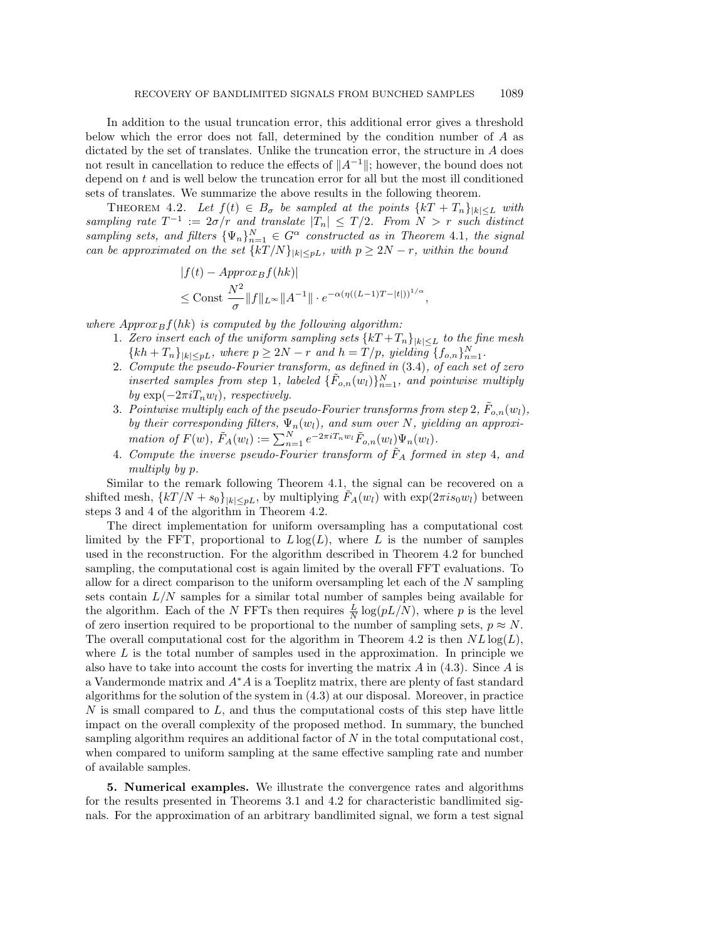In addition to the usual truncation error, this additional error gives a threshold below which the error does not fall, determined by the condition number of A as dictated by the set of translates. Unlike the truncation error, the structure in A does not result in cancellation to reduce the effects of  $||A^{-1}||$ ; however, the bound does not depend on  $t$  and is well below the truncation error for all but the most ill conditioned sets of translates. We summarize the above results in the following theorem.

THEOREM 4.2. Let  $f(t) \in B_{\sigma}$  be sampled at the points  $\{kT + T_n\}_{|k| \leq L}$  with sampling rate  $T^{-1} := 2\sigma/r$  and translate  $|T_n| \leq T/2$ . From  $N > r$  such distinct sampling sets, and filters  $\{\Psi_n\}_{n=1}^N \in G^{\alpha}$  constructed as in Theorem 4.1, the signal can be approximated on the set  $\{kT/N\}_{|k|\leq pL}$ , with  $p \geq 2N-r$ , within the bound

$$
|f(t) - Appr\alpha_B f(hk)|
$$
  
\n
$$
\leq \text{Const} \frac{N^2}{\sigma} ||f||_{L^{\infty}} ||A^{-1}|| \cdot e^{-\alpha(\eta((L-1)T-|t|))^{1/\alpha}},
$$

where  $Approx_Bf(hk)$  is computed by the following algorithm:

- 1. Zero insert each of the uniform sampling sets  $\{kT + T_n\}_{|k| \leq L}$  to the fine mesh  ${kh + T_n}|_{|k| \leq pL}$ , where  $p \geq 2N - r$  and  $h = T/p$ , yielding  ${f_{o,n}}_{n=1}^N$ .
- 2. Compute the pseudo-Fourier transform, as defined in (3.4), of each set of zero inserted samples from step 1, labeled  $\{\tilde{F}_{o,n}(w_l)\}_{n=1}^N$ , and pointwise multiply by  $\exp(-2\pi i T_n w_l)$ , respectively.
- 3. Pointwise multiply each of the pseudo-Fourier transforms from step 2,  $F_{o,n}(w_l)$ , by their corresponding filters,  $\Psi_n(w_l)$ , and sum over N, yielding an approximation of  $F(w)$ ,  $\tilde{F}_A(w_l) := \sum_{n=1}^N e^{-2\pi i T_n w_l} \tilde{F}_{o,n}(w_l) \Psi_n(w_l)$ .
- 4. Compute the inverse pseudo-Fourier transform of  $F_A$  formed in step 4, and multiply by p.

Similar to the remark following Theorem 4.1, the signal can be recovered on a shifted mesh,  $\{k/\N + s_0\}_{|k|\leq p}$ , by multiplying  $F_A(w_l)$  with  $\exp(2\pi i s_0w_l)$  between steps 3 and 4 of the algorithm in Theorem 4.2.

The direct implementation for uniform oversampling has a computational cost limited by the FFT, proportional to  $L \log(L)$ , where L is the number of samples used in the reconstruction. For the algorithm described in Theorem 4.2 for bunched sampling, the computational cost is again limited by the overall FFT evaluations. To allow for a direct comparison to the uniform oversampling let each of the N sampling sets contain  $L/N$  samples for a similar total number of samples being available for the algorithm. Each of the N FFTs then requires  $\frac{L}{N} \log(pL/N)$ , where p is the level of zero insertion required to be proportional to the number of sampling sets,  $p \approx N$ . The overall computational cost for the algorithm in Theorem 4.2 is then  $NL\log(L)$ , where  $L$  is the total number of samples used in the approximation. In principle we also have to take into account the costs for inverting the matrix  $A$  in (4.3). Since  $\overline{A}$  is a Vandermonde matrix and A∗A is a Toeplitz matrix, there are plenty of fast standard algorithms for the solution of the system in (4.3) at our disposal. Moreover, in practice  $N$  is small compared to  $L$ , and thus the computational costs of this step have little impact on the overall complexity of the proposed method. In summary, the bunched sampling algorithm requires an additional factor of N in the total computational cost, when compared to uniform sampling at the same effective sampling rate and number of available samples.

**5. Numerical examples.** We illustrate the convergence rates and algorithms for the results presented in Theorems 3.1 and 4.2 for characteristic bandlimited signals. For the approximation of an arbitrary bandlimited signal, we form a test signal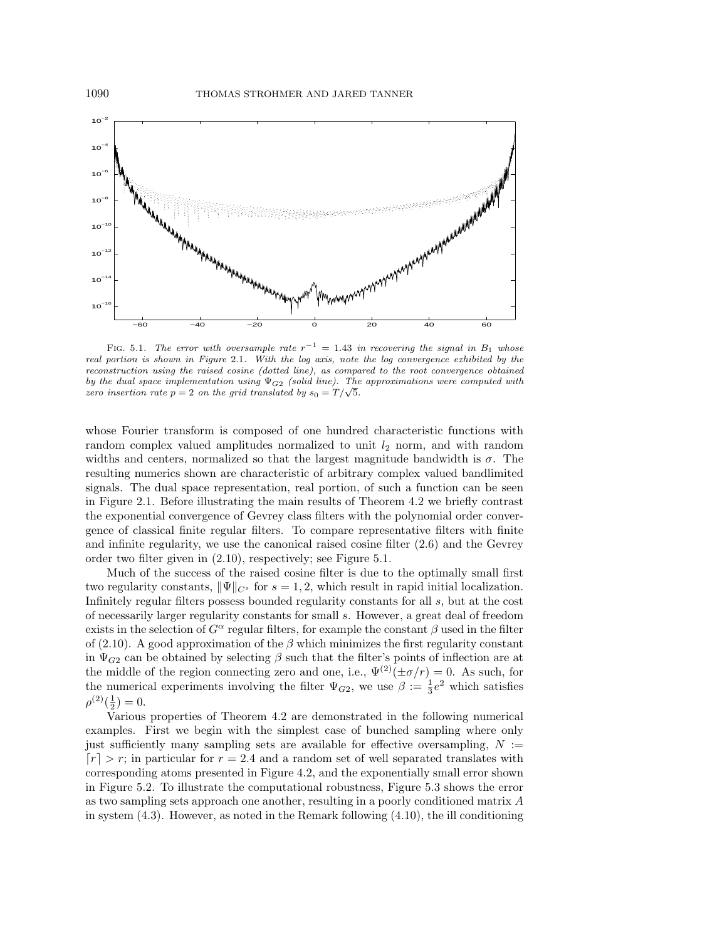

FIG. 5.1. The error with oversample rate  $r^{-1} = 1.43$  in recovering the signal in B<sub>1</sub> whose real portion is shown in Figure 2.1. With the log axis, note the log convergence exhibited by the reconstruction using the raised cosine (dotted line), as compared to the root convergence obtained by the dual space implementation using  $\Psi_{G2}$  (solid line). The approximations were computed with zero insertion rate  $p = 2$  on the grid translated by  $s_0 = T/\sqrt{5}$ .

whose Fourier transform is composed of one hundred characteristic functions with random complex valued amplitudes normalized to unit  $l_2$  norm, and with random widths and centers, normalized so that the largest magnitude bandwidth is  $\sigma$ . The resulting numerics shown are characteristic of arbitrary complex valued bandlimited signals. The dual space representation, real portion, of such a function can be seen in Figure 2.1. Before illustrating the main results of Theorem 4.2 we briefly contrast the exponential convergence of Gevrey class filters with the polynomial order convergence of classical finite regular filters. To compare representative filters with finite and infinite regularity, we use the canonical raised cosine filter (2.6) and the Gevrey order two filter given in (2.10), respectively; see Figure 5.1.

Much of the success of the raised cosine filter is due to the optimally small first two regularity constants,  $\|\Psi\|_{C^s}$  for  $s = 1, 2$ , which result in rapid initial localization. Infinitely regular filters possess bounded regularity constants for all s, but at the cost of necessarily larger regularity constants for small s. However, a great deal of freedom exists in the selection of  $G^{\alpha}$  regular filters, for example the constant  $\beta$  used in the filter of (2.10). A good approximation of the  $\beta$  which minimizes the first regularity constant in  $\Psi_{G2}$  can be obtained by selecting  $\beta$  such that the filter's points of inflection are at the middle of the region connecting zero and one, i.e.,  $\Psi^{(2)}(\pm \sigma/r) = 0$ . As such, for the numerical experiments involving the filter  $\Psi_{G2}$ , we use  $\beta := \frac{1}{3}e^2$  which satisfies  $\rho^{(2)}(\frac{1}{2})=0.$ 

Various properties of Theorem 4.2 are demonstrated in the following numerical examples. First we begin with the simplest case of bunched sampling where only just sufficiently many sampling sets are available for effective oversampling,  $N :=$  $r \mid r$  > r; in particular for  $r = 2.4$  and a random set of well separated translates with corresponding atoms presented in Figure 4.2, and the exponentially small error shown in Figure 5.2. To illustrate the computational robustness, Figure 5.3 shows the error as two sampling sets approach one another, resulting in a poorly conditioned matrix A in system (4.3). However, as noted in the Remark following (4.10), the ill conditioning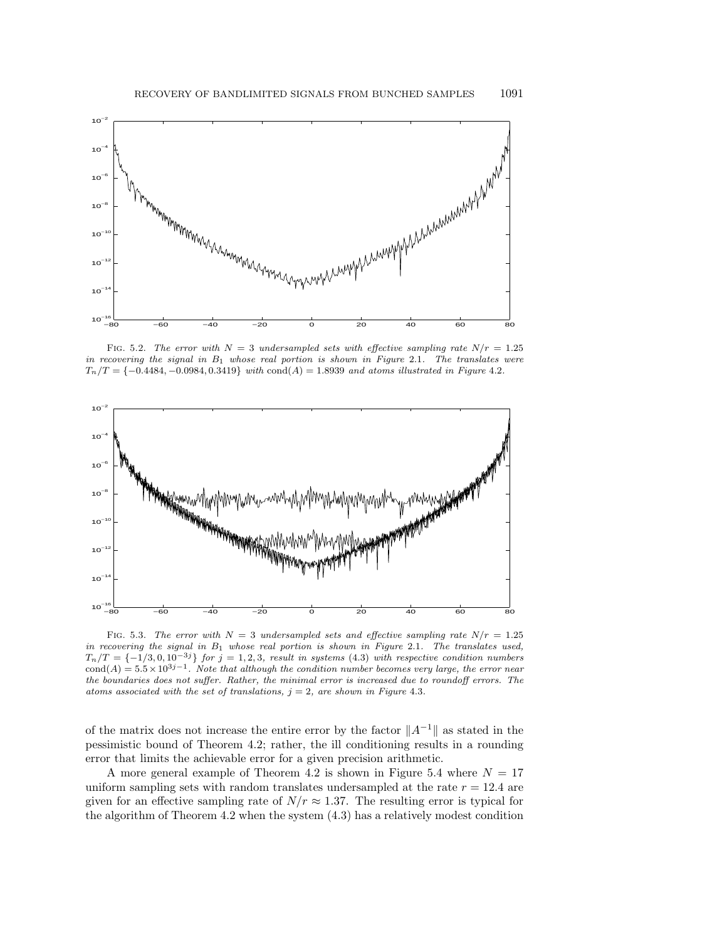

FIG. 5.2. The error with  $N = 3$  undersampled sets with effective sampling rate  $N/r = 1.25$ in recovering the signal in  $B_1$  whose real portion is shown in Figure 2.1. The translates were  $T_n/T = \{-0.4484, -0.0984, 0.3419\}$  with  $\text{cond}(A) = 1.8939$  and atoms illustrated in Figure 4.2.



FIG. 5.3. The error with  $N = 3$  undersampled sets and effective sampling rate  $N/r = 1.25$ in recovering the signal in  $B_1$  whose real portion is shown in Figure 2.1. The translates used,  $T_n/T = \{-1/3, 0, 10^{-3j}\}$  for  $j = 1, 2, 3$ , result in systems (4.3) with respective condition numbers cond(A) =  $5.5 \times 10^{3j-1}$ . Note that although the condition number becomes very large, the error near the boundaries does not suffer. Rather, the minimal error is increased due to roundoff errors. The atoms associated with the set of translations,  $j = 2$ , are shown in Figure 4.3.

of the matrix does not increase the entire error by the factor  $||A^{-1}||$  as stated in the pessimistic bound of Theorem 4.2; rather, the ill conditioning results in a rounding error that limits the achievable error for a given precision arithmetic.

A more general example of Theorem 4.2 is shown in Figure 5.4 where  $N = 17$ uniform sampling sets with random translates undersampled at the rate  $r = 12.4$  are given for an effective sampling rate of  $N/r \approx 1.37$ . The resulting error is typical for the algorithm of Theorem 4.2 when the system (4.3) has a relatively modest condition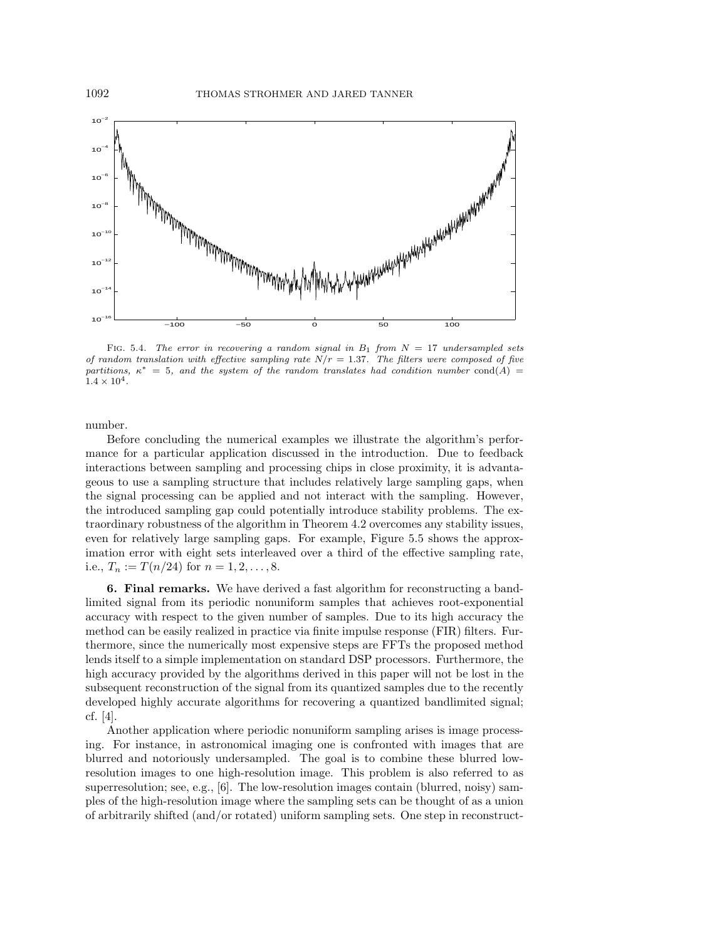

FIG. 5.4. The error in recovering a random signal in  $B_1$  from  $N = 17$  undersampled sets of random translation with effective sampling rate  $N/r = 1.37$ . The filters were composed of five partitions,  $\kappa^* = 5$ , and the system of the random translates had condition number cond(A) =  $1.4 \times 10^{4}$ .

number.

Before concluding the numerical examples we illustrate the algorithm's performance for a particular application discussed in the introduction. Due to feedback interactions between sampling and processing chips in close proximity, it is advantageous to use a sampling structure that includes relatively large sampling gaps, when the signal processing can be applied and not interact with the sampling. However, the introduced sampling gap could potentially introduce stability problems. The extraordinary robustness of the algorithm in Theorem 4.2 overcomes any stability issues, even for relatively large sampling gaps. For example, Figure 5.5 shows the approximation error with eight sets interleaved over a third of the effective sampling rate, i.e.,  $T_n := T(n/24)$  for  $n = 1, 2, ..., 8$ .

**6. Final remarks.** We have derived a fast algorithm for reconstructing a bandlimited signal from its periodic nonuniform samples that achieves root-exponential accuracy with respect to the given number of samples. Due to its high accuracy the method can be easily realized in practice via finite impulse response (FIR) filters. Furthermore, since the numerically most expensive steps are FFTs the proposed method lends itself to a simple implementation on standard DSP processors. Furthermore, the high accuracy provided by the algorithms derived in this paper will not be lost in the subsequent reconstruction of the signal from its quantized samples due to the recently developed highly accurate algorithms for recovering a quantized bandlimited signal; cf. [4].

Another application where periodic nonuniform sampling arises is image processing. For instance, in astronomical imaging one is confronted with images that are blurred and notoriously undersampled. The goal is to combine these blurred lowresolution images to one high-resolution image. This problem is also referred to as superresolution; see, e.g., [6]. The low-resolution images contain (blurred, noisy) samples of the high-resolution image where the sampling sets can be thought of as a union of arbitrarily shifted (and/or rotated) uniform sampling sets. One step in reconstruct-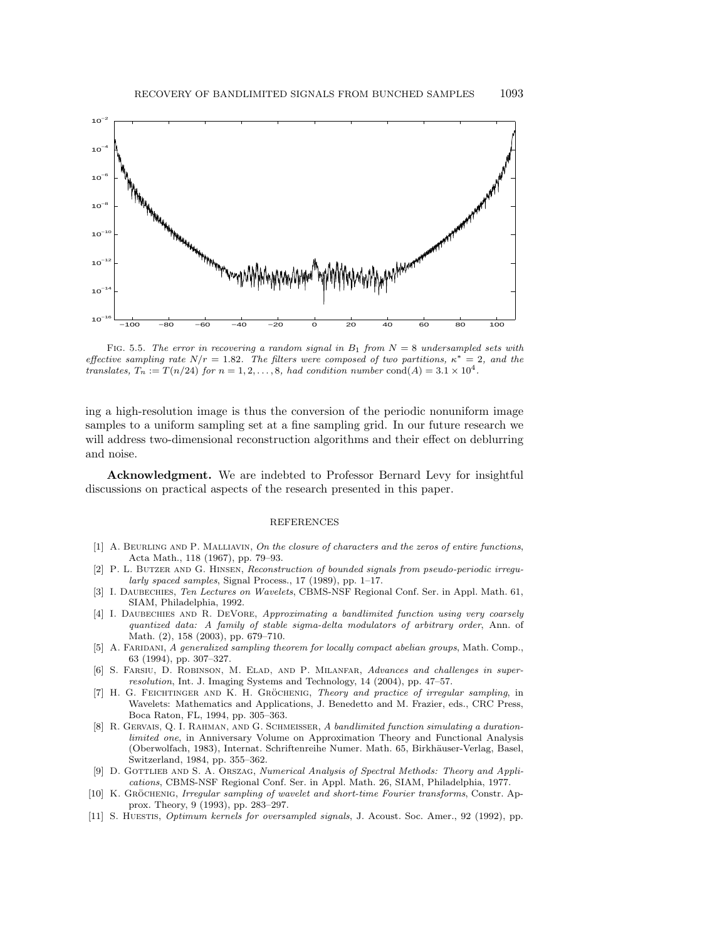

FIG. 5.5. The error in recovering a random signal in  $B_1$  from  $N = 8$  undersampled sets with effective sampling rate  $N/r = 1.82$ . The filters were composed of two partitions,  $\kappa^* = 2$ , and the translates,  $T_n := T(n/24)$  for  $n = 1, 2, ..., 8$ , had condition number cond(A) = 3.1 × 10<sup>4</sup>.

ing a high-resolution image is thus the conversion of the periodic nonuniform image samples to a uniform sampling set at a fine sampling grid. In our future research we will address two-dimensional reconstruction algorithms and their effect on deblurring and noise.

**Acknowledgment.** We are indebted to Professor Bernard Levy for insightful discussions on practical aspects of the research presented in this paper.

## REFERENCES

- [1] A. BEURLING AND P. MALLIAVIN, On the closure of characters and the zeros of entire functions, Acta Math., 118 (1967), pp. 79–93.
- [2] P. L. BUTZER AND G. HINSEN, Reconstruction of bounded signals from pseudo-periodic irregularly spaced samples, Signal Process., 17 (1989), pp. 1–17.
- [3] I. Daubechies, Ten Lectures on Wavelets, CBMS-NSF Regional Conf. Ser. in Appl. Math. 61, SIAM, Philadelphia, 1992.
- [4] I. DAUBECHIES AND R. DEVORE, Approximating a bandlimited function using very coarsely quantized data: A family of stable sigma-delta modulators of arbitrary order, Ann. of Math. (2), 158 (2003), pp. 679–710.
- [5] A. FARIDANI, A generalized sampling theorem for locally compact abelian groups, Math. Comp., 63 (1994), pp. 307–327.
- [6] S. FARSIU, D. ROBINSON, M. ELAD, AND P. MILANFAR, Advances and challenges in superresolution, Int. J. Imaging Systems and Technology, 14 (2004), pp. 47–57.
- [7] H. G. FEICHTINGER AND K. H. GRÖCHENIG, Theory and practice of irregular sampling, in Wavelets: Mathematics and Applications, J. Benedetto and M. Frazier, eds., CRC Press, Boca Raton, FL, 1994, pp. 305–363.
- [8] R. Gervais, Q. I. Rahman, and G. Schmeisser, A bandlimited function simulating a durationlimited one, in Anniversary Volume on Approximation Theory and Functional Analysis (Oberwolfach, 1983), Internat. Schriftenreihe Numer. Math. 65, Birkh¨auser-Verlag, Basel, Switzerland, 1984, pp. 355–362.
- [9] D. GOTTLIEB AND S. A. ORSZAG, Numerical Analysis of Spectral Methods: Theory and Applications, CBMS-NSF Regional Conf. Ser. in Appl. Math. 26, SIAM, Philadelphia, 1977.
- [10] K. GRÖCHENIG, Irregular sampling of wavelet and short-time Fourier transforms, Constr. Approx. Theory, 9 (1993), pp. 283–297.
- [11] S. HUESTIS, *Optimum kernels for oversampled signals*, J. Acoust. Soc. Amer., 92 (1992), pp.